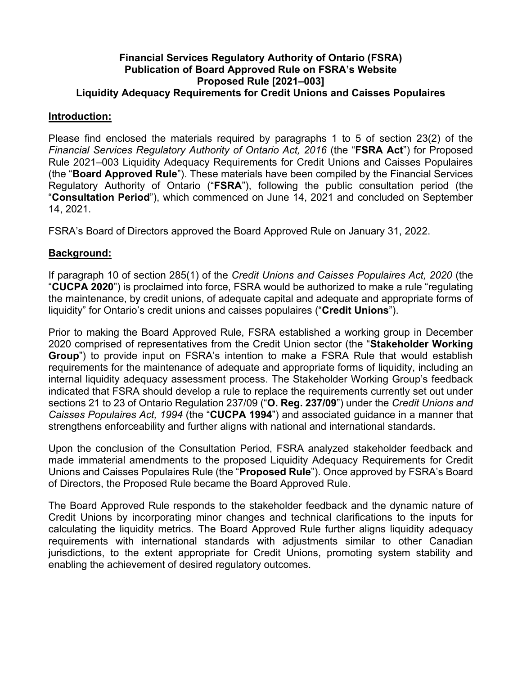## **Financial Services Regulatory Authority of Ontario (FSRA) Publication of Board Approved Rule on FSRA's Website Proposed Rule [2021–003] Liquidity Adequacy Requirements for Credit Unions and Caisses Populaires**

### **Introduction:**

Please find enclosed the materials required by paragraphs 1 to 5 of section 23(2) of the *Financial Services Regulatory Authority of Ontario Act, 2016* (the "**FSRA Act**") for Proposed Rule 2021–003 Liquidity Adequacy Requirements for Credit Unions and Caisses Populaires (the "**Board Approved Rule**"). These materials have been compiled by the Financial Services Regulatory Authority of Ontario ("**FSRA**"), following the public consultation period (the "**Consultation Period**"), which commenced on June 14, 2021 and concluded on September 14, 2021.

FSRA's Board of Directors approved the Board Approved Rule on January 31, 2022.

# **Background:**

If paragraph 10 of section 285(1) of the *Credit Unions and Caisses Populaires Act, 2020* (the "**CUCPA 2020**") is proclaimed into force, FSRA would be authorized to make a rule "regulating the maintenance, by credit unions, of adequate capital and adequate and appropriate forms of liquidity" for Ontario's credit unions and caisses populaires ("**Credit Unions**").

Prior to making the Board Approved Rule, FSRA established a working group in December 2020 comprised of representatives from the Credit Union sector (the "**Stakeholder Working Group**") to provide input on FSRA's intention to make a FSRA Rule that would establish requirements for the maintenance of adequate and appropriate forms of liquidity, including an internal liquidity adequacy assessment process. The Stakeholder Working Group's feedback indicated that FSRA should develop a rule to replace the requirements currently set out under sections 21 to 23 of Ontario Regulation 237/09 ("**O. Reg. 237/09**") under the *Credit Unions and Caisses Populaires Act, 1994* (the "**CUCPA 1994**") and associated guidance in a manner that strengthens enforceability and further aligns with national and international standards.

Upon the conclusion of the Consultation Period, FSRA analyzed stakeholder feedback and made immaterial amendments to the proposed Liquidity Adequacy Requirements for Credit Unions and Caisses Populaires Rule (the "**Proposed Rule**"). Once approved by FSRA's Board of Directors, the Proposed Rule became the Board Approved Rule.

The Board Approved Rule responds to the stakeholder feedback and the dynamic nature of Credit Unions by incorporating minor changes and technical clarifications to the inputs for calculating the liquidity metrics. The Board Approved Rule further aligns liquidity adequacy requirements with international standards with adjustments similar to other Canadian jurisdictions, to the extent appropriate for Credit Unions, promoting system stability and enabling the achievement of desired regulatory outcomes.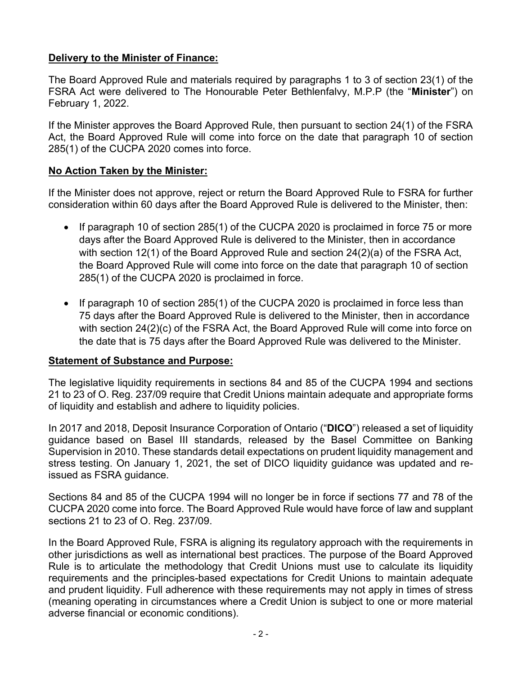# **Delivery to the Minister of Finance:**

The Board Approved Rule and materials required by paragraphs 1 to 3 of section 23(1) of the FSRA Act were delivered to The Honourable Peter Bethlenfalvy, M.P.P (the "**Minister**") on February 1, 2022.

If the Minister approves the Board Approved Rule, then pursuant to section 24(1) of the FSRA Act, the Board Approved Rule will come into force on the date that paragraph 10 of section 285(1) of the CUCPA 2020 comes into force.

# **No Action Taken by the Minister:**

If the Minister does not approve, reject or return the Board Approved Rule to FSRA for further consideration within 60 days after the Board Approved Rule is delivered to the Minister, then:

- If paragraph 10 of section 285(1) of the CUCPA 2020 is proclaimed in force 75 or more days after the Board Approved Rule is delivered to the Minister, then in accordance with section 12(1) of the Board Approved Rule and section 24(2)(a) of the FSRA Act, the Board Approved Rule will come into force on the date that paragraph 10 of section 285(1) of the CUCPA 2020 is proclaimed in force.
- If paragraph 10 of section 285(1) of the CUCPA 2020 is proclaimed in force less than 75 days after the Board Approved Rule is delivered to the Minister, then in accordance with section 24(2)(c) of the FSRA Act, the Board Approved Rule will come into force on the date that is 75 days after the Board Approved Rule was delivered to the Minister.

# **Statement of Substance and Purpose:**

The legislative liquidity requirements in sections 84 and 85 of the CUCPA 1994 and sections 21 to 23 of O. Reg. 237/09 require that Credit Unions maintain adequate and appropriate forms of liquidity and establish and adhere to liquidity policies.

In 2017 and 2018, Deposit Insurance Corporation of Ontario ("**DICO**") released a set of liquidity guidance based on Basel III standards, released by the Basel Committee on Banking Supervision in 2010. These standards detail expectations on prudent liquidity management and stress testing. On January 1, 2021, the set of DICO liquidity guidance was updated and reissued as FSRA guidance.

Sections 84 and 85 of the CUCPA 1994 will no longer be in force if sections 77 and 78 of the CUCPA 2020 come into force. The Board Approved Rule would have force of law and supplant sections 21 to 23 of O. Reg. 237/09.

In the Board Approved Rule, FSRA is aligning its regulatory approach with the requirements in other jurisdictions as well as international best practices. The purpose of the Board Approved Rule is to articulate the methodology that Credit Unions must use to calculate its liquidity requirements and the principles-based expectations for Credit Unions to maintain adequate and prudent liquidity. Full adherence with these requirements may not apply in times of stress (meaning operating in circumstances where a Credit Union is subject to one or more material adverse financial or economic conditions).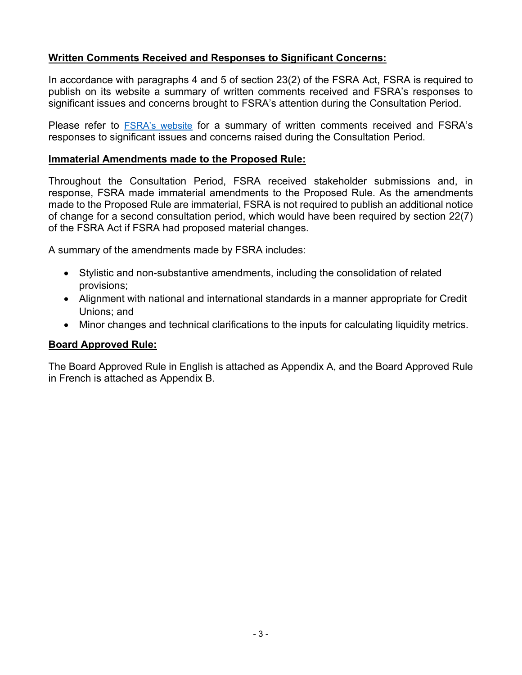# **Written Comments Received and Responses to Significant Concerns:**

In accordance with paragraphs 4 and 5 of section 23(2) of the FSRA Act, FSRA is required to publish on its website a summary of written comments received and FSRA's responses to significant issues and concerns brought to FSRA's attention during the Consultation Period.

Please refer to [FSRA's website](https://www.fsrao.ca/board-approved-draft-liquidity-adequacy-credit-unions-and-caisses-populaires-requirements-rule-summary-stakeholders-feedback-and-fsras-responses) for a summary of written comments received and FSRA's responses to significant issues and concerns raised during the Consultation Period.

### **Immaterial Amendments made to the Proposed Rule:**

Throughout the Consultation Period, FSRA received stakeholder submissions and, in response, FSRA made immaterial amendments to the Proposed Rule. As the amendments made to the Proposed Rule are immaterial, FSRA is not required to publish an additional notice of change for a second consultation period, which would have been required by section 22(7) of the FSRA Act if FSRA had proposed material changes.

A summary of the amendments made by FSRA includes:

- Stylistic and non-substantive amendments, including the consolidation of related provisions;
- Alignment with national and international standards in a manner appropriate for Credit Unions; and
- Minor changes and technical clarifications to the inputs for calculating liquidity metrics.

# **Board Approved Rule:**

The Board Approved Rule in English is attached as Appendix A, and the Board Approved Rule in French is attached as Appendix B.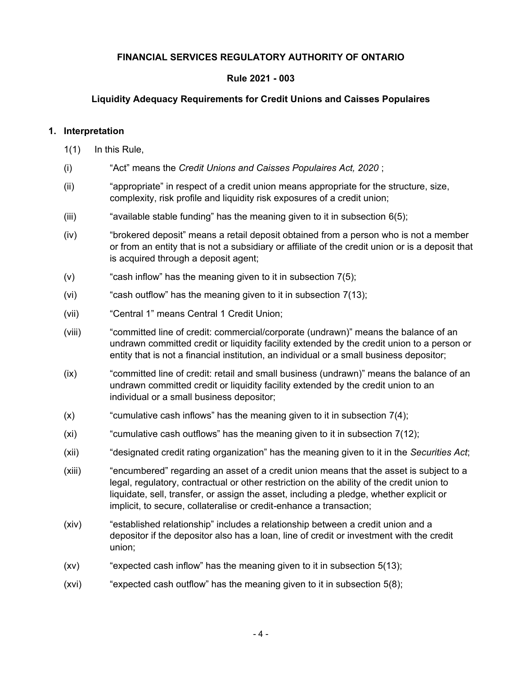### **FINANCIAL SERVICES REGULATORY AUTHORITY OF ONTARIO**

#### **Rule 2021 - 003**

#### **Liquidity Adequacy Requirements for Credit Unions and Caisses Populaires**

#### **1. Interpretation**

1(1) In this Rule,

- (i) "Act" means the *Credit Unions and Caisses Populaires Act, 2020* ;
- (ii) "appropriate" in respect of a credit union means appropriate for the structure, size, complexity, risk profile and liquidity risk exposures of a credit union;
- (iii) "available stable funding" has the meaning given to it in subsection  $6(5)$ ;
- (iv) "brokered deposit" means a retail deposit obtained from a person who is not a member or from an entity that is not a subsidiary or affiliate of the credit union or is a deposit that is acquired through a deposit agent;
- (v)  $\qquad$  "cash inflow" has the meaning given to it in subsection  $7(5)$ ;
- (vi) "cash outflow" has the meaning given to it in subsection [7\(13\)](#page-29-0);
- (vii) "Central 1" means Central 1 Credit Union;
- (viii) "committed line of credit: commercial/corporate (undrawn)" means the balance of an undrawn committed credit or liquidity facility extended by the credit union to a person or entity that is not a financial institution, an individual or a small business depositor;
- (ix) "committed line of credit: retail and small business (undrawn)" means the balance of an undrawn committed credit or liquidity facility extended by the credit union to an individual or a small business depositor;
- $(x)$  "cumulative cash inflows" has the meaning given to it in subsection  $7(4)$ ;
- $(xi)$  "cumulative cash outflows" has the meaning given to it in subsection  $7(12)$ ;
- (xii) "designated credit rating organization" has the meaning given to it in the *Securities Act*;
- (xiii) "encumbered" regarding an asset of a credit union means that the asset is subject to a legal, regulatory, contractual or other restriction on the ability of the credit union to liquidate, sell, transfer, or assign the asset, including a pledge, whether explicit or implicit, to secure, collateralise or credit-enhance a transaction;
- (xiv) "established relationship" includes a relationship between a credit union and a depositor if the depositor also has a loan, line of credit or investment with the credit union;
- (xv) "expected cash inflow" has the meaning given to it in subsection [5\(13\);](#page-14-0)
- (xvi) "expected cash outflow" has the meaning given to it in subsection [5\(8\);](#page-11-0)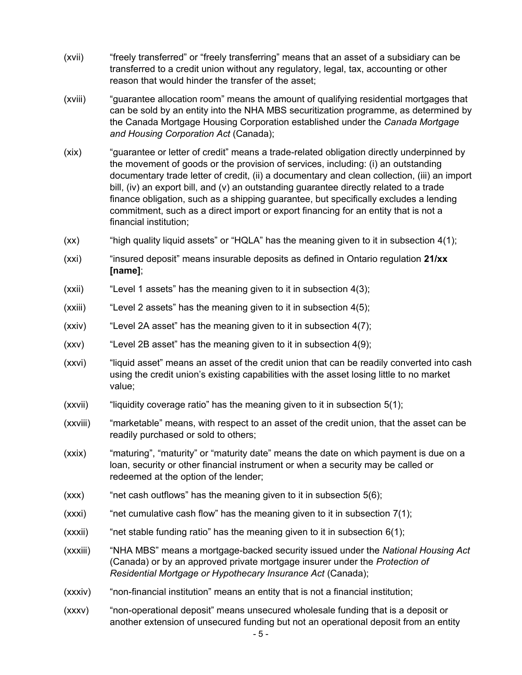- (xvii) "freely transferred" or "freely transferring" means that an asset of a subsidiary can be transferred to a credit union without any regulatory, legal, tax, accounting or other reason that would hinder the transfer of the asset;
- (xviii) "guarantee allocation room" means the amount of qualifying residential mortgages that can be sold by an entity into the NHA MBS securitization programme, as determined by the Canada Mortgage Housing Corporation established under the *Canada Mortgage and Housing Corporation Act* (Canada);
- (xix) "guarantee or letter of credit" means a trade-related obligation directly underpinned by the movement of goods or the provision of services, including: (i) an outstanding documentary trade letter of credit, (ii) a documentary and clean collection, (iii) an import bill, (iv) an export bill, and (v) an outstanding guarantee directly related to a trade finance obligation, such as a shipping guarantee, but specifically excludes a lending commitment, such as a direct import or export financing for an entity that is not a financial institution;
- (xx) "high quality liquid assets" or "HQLA" has the meaning given to it in subsection [4\(1\)](#page-8-0);
- (xxi) "insured deposit" means insurable deposits as defined in Ontario regulation **21/xx [name]**;
- (xxii) "Level 1 assets" has the meaning given to it in subsection [4\(3\)](#page-8-0);
- (xxiii) "Level 2 assets" has the meaning given to it in subsection [4\(5\)](#page-8-0);
- $(xxi)$  "Level 2A asset" has the meaning given to it in subsection  $4(7)$ ;
- (xxv) "Level 2B asset" has the meaning given to it in subsection [4\(9\);](#page-9-0)
- (xxvi) "liquid asset" means an asset of the credit union that can be readily converted into cash using the credit union's existing capabilities with the asset losing little to no market value;
- $(xxvii)$  "liquidity coverage ratio" has the meaning given to it in subsection  $5(1)$ ;
- (xxviii) "marketable" means, with respect to an asset of the credit union, that the asset can be readily purchased or sold to others;
- (xxix) "maturing", "maturity" or "maturity date" means the date on which payment is due on a loan, security or other financial instrument or when a security may be called or redeemed at the option of the lender;
- $(xxx)$  "net cash outflows" has the meaning given to it in subsection  $5(6)$ ;
- $(xxxi)$  "net cumulative cash flow" has the meaning given to it in subsection  $7(1)$ ;
- $(x)$  "net stable funding ratio" has the meaning given to it in subsection  $6(1)$ ;
- (xxxiii) "NHA MBS" means a mortgage-backed security issued under the *National Housing Act*  (Canada) or by an approved private mortgage insurer under the *Protection of Residential Mortgage or Hypothecary Insurance Act* (Canada);
- (xxxiv) "non-financial institution" means an entity that is not a financial institution;
- (xxxv) "non-operational deposit" means unsecured wholesale funding that is a deposit or another extension of unsecured funding but not an operational deposit from an entity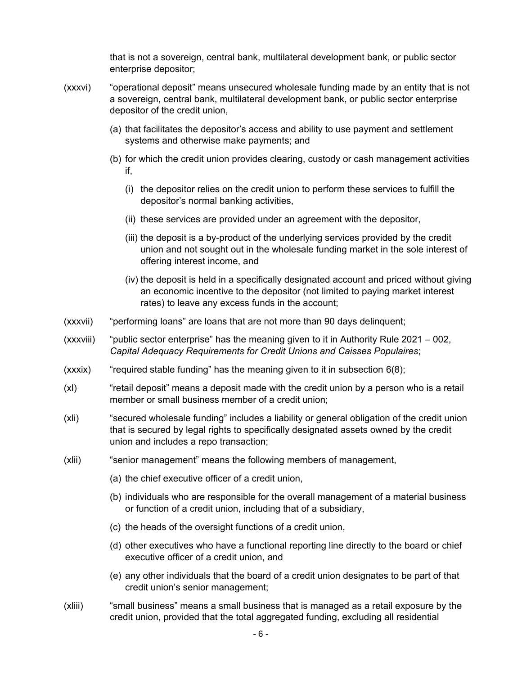that is not a sovereign, central bank, multilateral development bank, or public sector enterprise depositor;

- (xxxvi) "operational deposit" means unsecured wholesale funding made by an entity that is not a sovereign, central bank, multilateral development bank, or public sector enterprise depositor of the credit union,
	- (a) that facilitates the depositor's access and ability to use payment and settlement systems and otherwise make payments; and
	- (b) for which the credit union provides clearing, custody or cash management activities if,
		- (i) the depositor relies on the credit union to perform these services to fulfill the depositor's normal banking activities,
		- (ii) these services are provided under an agreement with the depositor,
		- (iii) the deposit is a by-product of the underlying services provided by the credit union and not sought out in the wholesale funding market in the sole interest of offering interest income, and
		- (iv) the deposit is held in a specifically designated account and priced without giving an economic incentive to the depositor (not limited to paying market interest rates) to leave any excess funds in the account;
- (xxxvii) "performing loans" are loans that are not more than 90 days delinquent;
- (xxxviii) "public sector enterprise" has the meaning given to it in Authority Rule 2021 002, *Capital Adequacy Requirements for Credit Unions and Caisses Populaires*;
- $(xxxix)$  "required stable funding" has the meaning given to it in subsection  $6(8)$ ;
- (xl) "retail deposit" means a deposit made with the credit union by a person who is a retail member or small business member of a credit union;
- (xli) "secured wholesale funding" includes a liability or general obligation of the credit union that is secured by legal rights to specifically designated assets owned by the credit union and includes a repo transaction;
- (xlii) "senior management" means the following members of management,
	- (a) the chief executive officer of a credit union,
	- (b) individuals who are responsible for the overall management of a material business or function of a credit union, including that of a subsidiary,
	- (c) the heads of the oversight functions of a credit union,
	- (d) other executives who have a functional reporting line directly to the board or chief executive officer of a credit union, and
	- (e) any other individuals that the board of a credit union designates to be part of that credit union's senior management;
- (xliii) "small business" means a small business that is managed as a retail exposure by the credit union, provided that the total aggregated funding, excluding all residential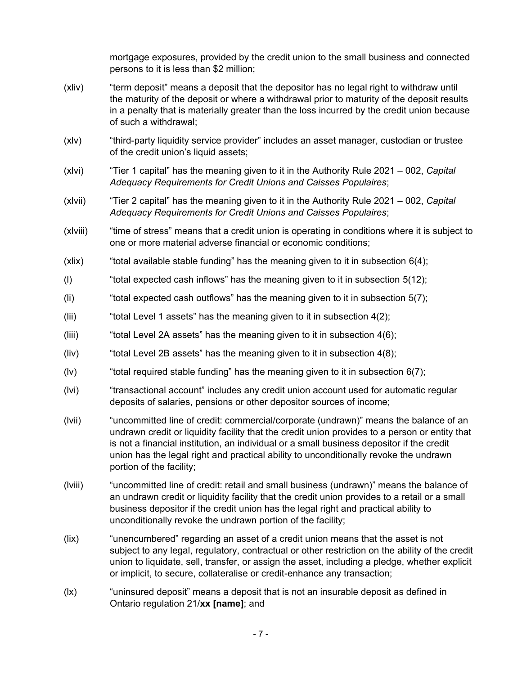mortgage exposures, provided by the credit union to the small business and connected persons to it is less than \$2 million;

- (xliv) "term deposit" means a deposit that the depositor has no legal right to withdraw until the maturity of the deposit or where a withdrawal prior to maturity of the deposit results in a penalty that is materially greater than the loss incurred by the credit union because of such a withdrawal;
- (xlv) "third-party liquidity service provider" includes an asset manager, custodian or trustee of the credit union's liquid assets;
- (xlvi) "Tier 1 capital" has the meaning given to it in the Authority Rule 2021 002, *Capital Adequacy Requirements for Credit Unions and Caisses Populaires*;
- (xlvii) "Tier 2 capital" has the meaning given to it in the Authority Rule 2021 002, *Capital Adequacy Requirements for Credit Unions and Caisses Populaires*;
- (xlviii) "time of stress" means that a credit union is operating in conditions where it is subject to one or more material adverse financial or economic conditions;
- $(x$ lix) "total available stable funding" has the meaning given to it in subsection  $6(4)$ ;
- (I) "total expected cash inflows" has the meaning given to it in subsection  $5(12)$ ;
- (Ii) "total expected cash outflows" has the meaning given to it in subsection  $5(7)$ ;
- (iii) "total Level 1 assets" has the meaning given to it in subsection  $4(2)$ ;
- (iiii) "total Level 2A assets" has the meaning given to it in subsection  $4(6)$ ;
- (liv) "total Level 2B assets" has the meaning given to it in subsection  $4(8)$ ;
- (Iv) "total required stable funding" has the meaning given to it in subsection  $6(7)$ ;
- (lvi) "transactional account" includes any credit union account used for automatic regular deposits of salaries, pensions or other depositor sources of income;
- (lvii) "uncommitted line of credit: commercial/corporate (undrawn)" means the balance of an undrawn credit or liquidity facility that the credit union provides to a person or entity that is not a financial institution, an individual or a small business depositor if the credit union has the legal right and practical ability to unconditionally revoke the undrawn portion of the facility;
- (lviii) "uncommitted line of credit: retail and small business (undrawn)" means the balance of an undrawn credit or liquidity facility that the credit union provides to a retail or a small business depositor if the credit union has the legal right and practical ability to unconditionally revoke the undrawn portion of the facility;
- (lix) "unencumbered" regarding an asset of a credit union means that the asset is not subject to any legal, regulatory, contractual or other restriction on the ability of the credit union to liquidate, sell, transfer, or assign the asset, including a pledge, whether explicit or implicit, to secure, collateralise or credit-enhance any transaction;
- (lx) "uninsured deposit" means a deposit that is not an insurable deposit as defined in Ontario regulation 21/**xx [name]**; and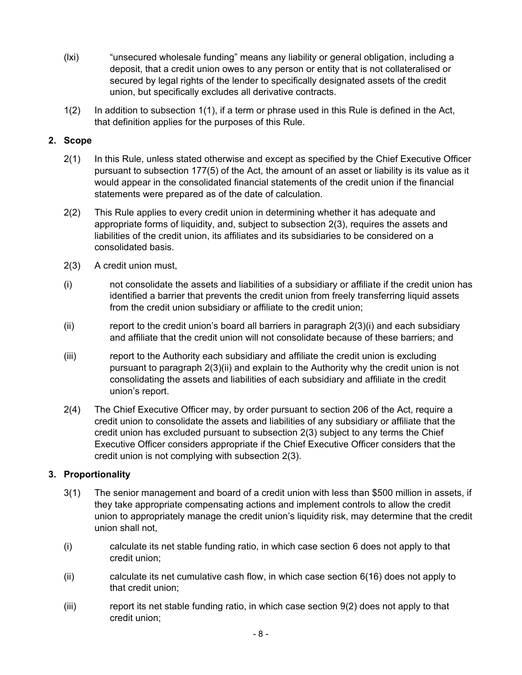- <span id="page-7-0"></span>(lxi) "unsecured wholesale funding" means any liability or general obligation, including a deposit, that a credit union owes to any person or entity that is not collateralised or secured by legal rights of the lender to specifically designated assets of the credit union, but specifically excludes all derivative contracts.
- 1(2) In addition to subsection 1(1), if a term or phrase used in this Rule is defined in the Act, that definition applies for the purposes of this Rule.

#### **2. Scope**

- 2(1) In this Rule, unless stated otherwise and except as specified by the Chief Executive Officer pursuant to subsection 177(5) of the Act, the amount of an asset or liability is its value as it would appear in the consolidated financial statements of the credit union if the financial statements were prepared as of the date of calculation.
- 2(2) This Rule applies to every credit union in determining whether it has adequate and appropriate forms of liquidity, and, subject to subsection 2(3), requires the assets and liabilities of the credit union, its affiliates and its subsidiaries to be considered on a consolidated basis.
- 2(3) A credit union must,
- (i) not consolidate the assets and liabilities of a subsidiary or affiliate if the credit union has identified a barrier that prevents the credit union from freely transferring liquid assets from the credit union subsidiary or affiliate to the credit union;
- (ii) report to the credit union's board all barriers in paragraph  $2(3)(i)$  and each subsidiary and affiliate that the credit union will not consolidate because of these barriers; and
- (iii) report to the Authority each subsidiary and affiliate the credit union is excluding pursuant to paragraph 2(3)(ii) and explain to the Authority why the credit union is not consolidating the assets and liabilities of each subsidiary and affiliate in the credit union's report.
- 2(4) The Chief Executive Officer may, by order pursuant to section 206 of the Act, require a credit union to consolidate the assets and liabilities of any subsidiary or affiliate that the credit union has excluded pursuant to subsection 2(3) subject to any terms the Chief Executive Officer considers appropriate if the Chief Executive Officer considers that the credit union is not complying with subsection 2(3).

# **3. Proportionality**

- 3(1) The senior management and board of a credit union with less than \$500 million in assets, if they take appropriate compensating actions and implement controls to allow the credit union to appropriately manage the credit union's liquidity risk, may determine that the credit union shall not,
- (i) calculate its net stable funding ratio, in which case section [6](#page-16-0) does not apply to that credit union;
- (ii) calculate its net cumulative cash flow, in which case section [6\(16\)](#page-21-0) does not apply to that credit union;
- (iii) report its net stable funding ratio, in which case section [9\(2\)](#page-33-0) does not apply to that credit union;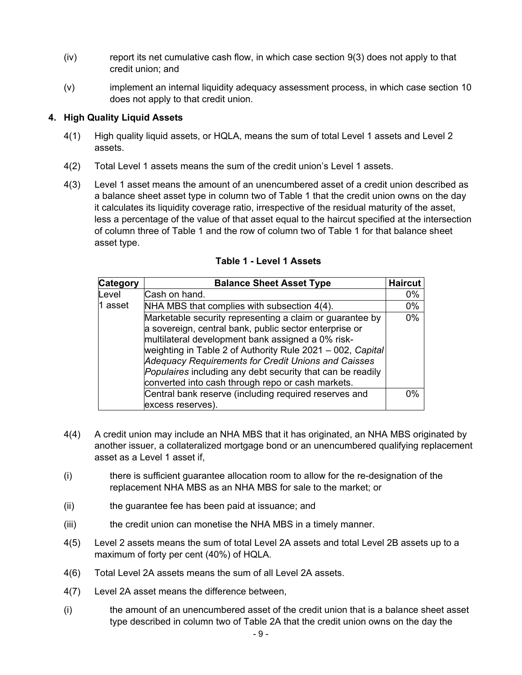- <span id="page-8-0"></span> $(iv)$  report its net cumulative cash flow, in which case section  $9(3)$  does not apply to that credit union; and
- (v) implement an internal liquidity adequacy assessment process, in which case section [10](#page-33-0) does not apply to that credit union.

### **4. High Quality Liquid Assets**

- 4(1) High quality liquid assets, or HQLA, means the sum of total Level 1 assets and Level 2 assets.
- 4(2) Total Level 1 assets means the sum of the credit union's Level 1 assets.
- 4(3) Level 1 asset means the amount of an unencumbered asset of a credit union described as a balance sheet asset type in column two of Table 1 that the credit union owns on the day it calculates its liquidity coverage ratio, irrespective of the residual maturity of the asset, less a percentage of the value of that asset equal to the haircut specified at the intersection of column three of Table 1 and the row of column two of Table 1 for that balance sheet asset type.

| <b>Category</b> | <b>Balance Sheet Asset Type</b>                                                                                                                                                                                                                                                                                                                                                                                 | <b>Haircut</b> |
|-----------------|-----------------------------------------------------------------------------------------------------------------------------------------------------------------------------------------------------------------------------------------------------------------------------------------------------------------------------------------------------------------------------------------------------------------|----------------|
| Level           | Cash on hand.                                                                                                                                                                                                                                                                                                                                                                                                   | 0%             |
| 1 asset         | NHA MBS that complies with subsection 4(4).                                                                                                                                                                                                                                                                                                                                                                     | 0%             |
|                 | Marketable security representing a claim or guarantee by<br>a sovereign, central bank, public sector enterprise or<br>multilateral development bank assigned a 0% risk-<br>weighting in Table 2 of Authority Rule 2021 - 002, Capital<br>Adequacy Requirements for Credit Unions and Caisses<br>Populaires including any debt security that can be readily<br>converted into cash through repo or cash markets. | 0%             |
|                 | Central bank reserve (including required reserves and                                                                                                                                                                                                                                                                                                                                                           | በ%             |
|                 | excess reserves).                                                                                                                                                                                                                                                                                                                                                                                               |                |

#### **Table 1 - Level 1 Assets**

- 4(4) A credit union may include an NHA MBS that it has originated, an NHA MBS originated by another issuer, a collateralized mortgage bond or an unencumbered qualifying replacement asset as a Level 1 asset if,
- (i) there is sufficient guarantee allocation room to allow for the re-designation of the replacement NHA MBS as an NHA MBS for sale to the market; or
- (ii) the guarantee fee has been paid at issuance; and
- (iii) the credit union can monetise the NHA MBS in a timely manner.
- 4(5) Level 2 assets means the sum of total Level 2A assets and total Level 2B assets up to a maximum of forty per cent (40%) of HQLA.
- 4(6) Total Level 2A assets means the sum of all Level 2A assets.
- 4(7) Level 2A asset means the difference between,
- (i) the amount of an unencumbered asset of the credit union that is a balance sheet asset type described in column two of Table 2A that the credit union owns on the day the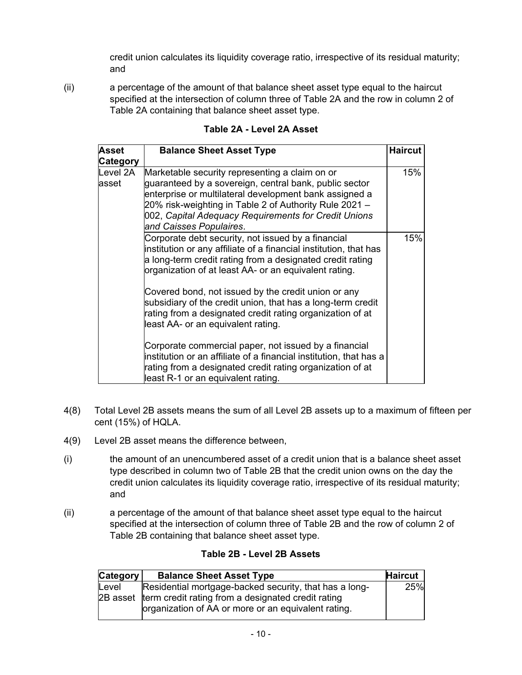credit union calculates its liquidity coverage ratio, irrespective of its residual maturity; and

<span id="page-9-0"></span>(ii) a percentage of the amount of that balance sheet asset type equal to the haircut specified at the intersection of column three of Table 2A and the row in column 2 of Table 2A containing that balance sheet asset type.

| <b>Asset</b><br><b>Category</b> | <b>Balance Sheet Asset Type</b>                                                                                                                                                                                                                                                                                 | <b>Haircut</b> |
|---------------------------------|-----------------------------------------------------------------------------------------------------------------------------------------------------------------------------------------------------------------------------------------------------------------------------------------------------------------|----------------|
| Level 2A<br>asset               | Marketable security representing a claim on or<br>guaranteed by a sovereign, central bank, public sector<br>enterprise or multilateral development bank assigned a<br>20% risk-weighting in Table 2 of Authority Rule 2021 -<br>002, Capital Adequacy Requirements for Credit Unions<br>and Caisses Populaires. | 15%            |
|                                 | Corporate debt security, not issued by a financial<br>institution or any affiliate of a financial institution, that has<br>a long-term credit rating from a designated credit rating<br>organization of at least AA- or an equivalent rating.                                                                   | 15%            |
|                                 | Covered bond, not issued by the credit union or any<br>subsidiary of the credit union, that has a long-term credit<br>rating from a designated credit rating organization of at<br>least AA- or an equivalent rating.                                                                                           |                |
|                                 | Corporate commercial paper, not issued by a financial<br>institution or an affiliate of a financial institution, that has a<br>rating from a designated credit rating organization of at<br>least R-1 or an equivalent rating.                                                                                  |                |

**Table 2A - Level 2A Asset**

- 4(8) Total Level 2B assets means the sum of all Level 2B assets up to a maximum of fifteen per cent (15%) of HQLA.
- 4(9) Level 2B asset means the difference between,
- (i) the amount of an unencumbered asset of a credit union that is a balance sheet asset type described in column two of Table 2B that the credit union owns on the day the credit union calculates its liquidity coverage ratio, irrespective of its residual maturity; and
- (ii) a percentage of the amount of that balance sheet asset type equal to the haircut specified at the intersection of column three of Table 2B and the row of column 2 of Table 2B containing that balance sheet asset type.

|  |  |  |  |  | Table 2B - Level 2B Assets |
|--|--|--|--|--|----------------------------|
|--|--|--|--|--|----------------------------|

| <b>Category</b> | <b>Balance Sheet Asset Type</b>                                                                                    | <b>Haircut</b> |
|-----------------|--------------------------------------------------------------------------------------------------------------------|----------------|
| Level           | Residential mortgage-backed security, that has a long-                                                             | 25%            |
|                 | 2B asset term credit rating from a designated credit rating<br>organization of AA or more or an equivalent rating. |                |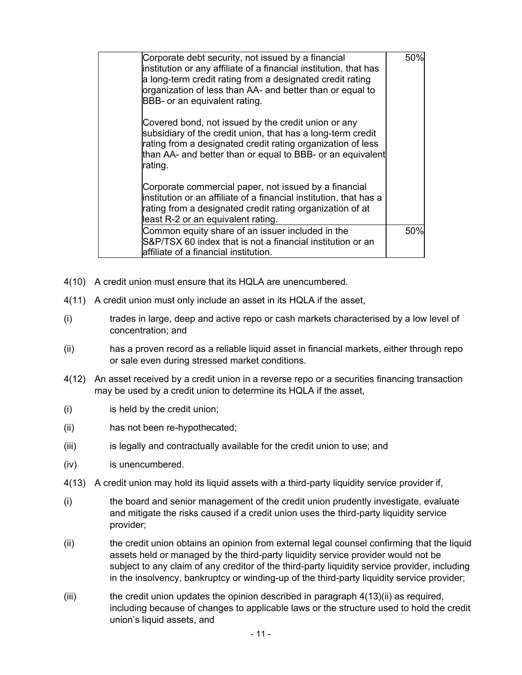<span id="page-10-0"></span>

| Corporate debt security, not issued by a financial<br>institution or any affiliate of a financial institution, that has<br>a long-term credit rating from a designated credit rating<br>organization of less than AA- and better than or equal to<br>BBB- or an equivalent rating. | 50% |
|------------------------------------------------------------------------------------------------------------------------------------------------------------------------------------------------------------------------------------------------------------------------------------|-----|
| Covered bond, not issued by the credit union or any<br>subsidiary of the credit union, that has a long-term credit<br>rating from a designated credit rating organization of less<br>than AA- and better than or equal to BBB- or an equivalent<br>rating.                         |     |
| Corporate commercial paper, not issued by a financial<br>institution or an affiliate of a financial institution, that has a<br>rating from a designated credit rating organization of at<br>least R-2 or an equivalent rating.                                                     |     |
| Common equity share of an issuer included in the<br>S&P/TSX 60 index that is not a financial institution or an<br>laffiliate of a financial institution.                                                                                                                           | 50% |

- 4(10) A credit union must ensure that its HQLA are unencumbered.
- 4(11) A credit union must only include an asset in its HQLA if the asset,
- (i) trades in large, deep and active repo or cash markets characterised by a low level of concentration; and
- (ii) has a proven record as a reliable liquid asset in financial markets, either through repo or sale even during stressed market conditions.
- 4(12) An asset received by a credit union in a reverse repo or a securities financing transaction may be used by a credit union to determine its HQLA if the asset,
- (i) is held by the credit union;
- (ii) has not been re-hypothecated;
- (iii) is legally and contractually available for the credit union to use; and
- (iv) is unencumbered.
- 4(13) A credit union may hold its liquid assets with a third-party liquidity service provider if,
- (i) the board and senior management of the credit union prudently investigate, evaluate and mitigate the risks caused if a credit union uses the third-party liquidity service provider;
- (ii) the credit union obtains an opinion from external legal counsel confirming that the liquid assets held or managed by the third-party liquidity service provider would not be subject to any claim of any creditor of the third-party liquidity service provider, including in the insolvency, bankruptcy or winding-up of the third-party liquidity service provider;
- $(iii)$  the credit union updates the opinion described in paragraph  $4(13)(ii)$  as required, including because of changes to applicable laws or the structure used to hold the credit union's liquid assets, and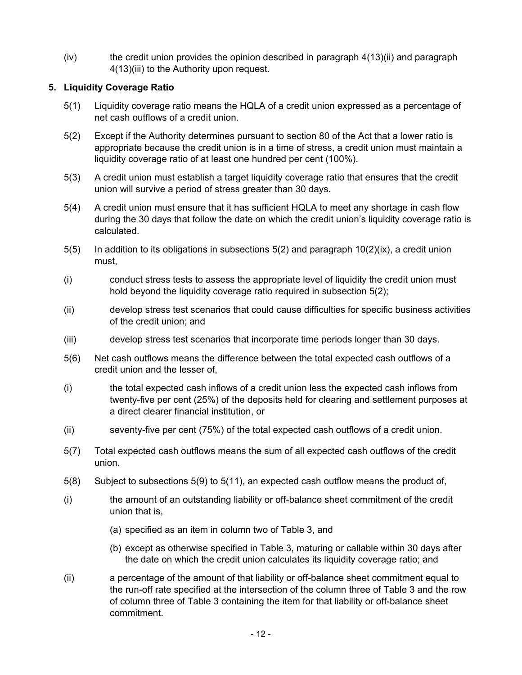<span id="page-11-0"></span> $(iv)$  the credit union provides the opinion described in paragraph  $4(13)(ii)$  and paragraph [4\(13\)\(iii\)](#page-10-0) to the Authority upon request.

### **5. Liquidity Coverage Ratio**

- 5(1) Liquidity coverage ratio means the HQLA of a credit union expressed as a percentage of net cash outflows of a credit union.
- 5(2) Except if the Authority determines pursuant to section 80 of the Act that a lower ratio is appropriate because the credit union is in a time of stress, a credit union must maintain a liquidity coverage ratio of at least one hundred per cent (100%).
- 5(3) A credit union must establish a target liquidity coverage ratio that ensures that the credit union will survive a period of stress greater than 30 days.
- 5(4) A credit union must ensure that it has sufficient HQLA to meet any shortage in cash flow during the 30 days that follow the date on which the credit union's liquidity coverage ratio is calculated.
- $5(5)$  In addition to its obligations in subsections  $5(2)$  and paragraph  $10(2)(i x)$ , a credit union must,
- (i) conduct stress tests to assess the appropriate level of liquidity the credit union must hold beyond the liquidity coverage ratio required in subsection 5(2);
- (ii) develop stress test scenarios that could cause difficulties for specific business activities of the credit union; and
- (iii) develop stress test scenarios that incorporate time periods longer than 30 days.
- 5(6) Net cash outflows means the difference between the total expected cash outflows of a credit union and the lesser of,
- (i) the total expected cash inflows of a credit union less the expected cash inflows from twenty-five per cent (25%) of the deposits held for clearing and settlement purposes at a direct clearer financial institution, or
- (ii) seventy-five per cent (75%) of the total expected cash outflows of a credit union.
- 5(7) Total expected cash outflows means the sum of all expected cash outflows of the credit union.
- 5(8) Subject to subsections [5\(9\)](#page-13-0) to [5\(11\),](#page-14-0) an expected cash outflow means the product of,
- (i) the amount of an outstanding liability or off-balance sheet commitment of the credit union that is,
	- (a) specified as an item in column two of Table 3, and
	- (b) except as otherwise specified in Table 3, maturing or callable within 30 days after the date on which the credit union calculates its liquidity coverage ratio; and
- (ii) a percentage of the amount of that liability or off-balance sheet commitment equal to the run-off rate specified at the intersection of the column three of Table 3 and the row of column three of Table 3 containing the item for that liability or off-balance sheet commitment.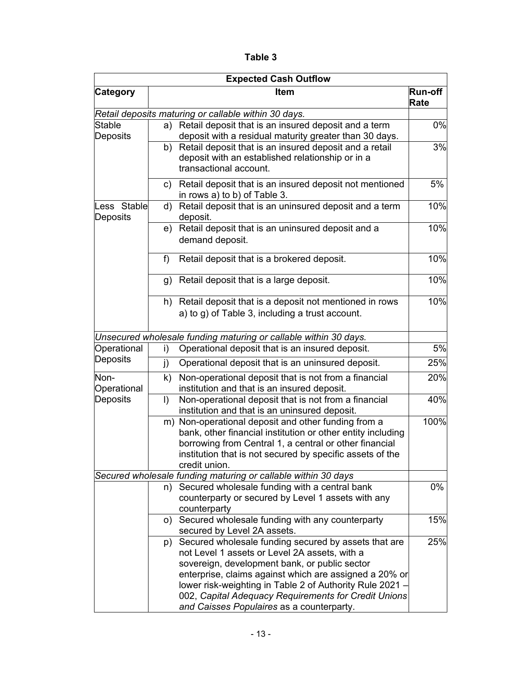**Table 3** 

<span id="page-12-0"></span>

| <b>Expected Cash Outflow</b> |                                                                                                                                                                                                                                                                                                                                                                                    |                        |  |  |
|------------------------------|------------------------------------------------------------------------------------------------------------------------------------------------------------------------------------------------------------------------------------------------------------------------------------------------------------------------------------------------------------------------------------|------------------------|--|--|
| <b>Category</b>              | Item                                                                                                                                                                                                                                                                                                                                                                               | <b>Run-off</b><br>Rate |  |  |
|                              | Retail deposits maturing or callable within 30 days.                                                                                                                                                                                                                                                                                                                               |                        |  |  |
| Stable<br>Deposits           | Retail deposit that is an insured deposit and a term<br>a)<br>deposit with a residual maturity greater than 30 days.                                                                                                                                                                                                                                                               | 0%                     |  |  |
|                              | Retail deposit that is an insured deposit and a retail<br>b)<br>deposit with an established relationship or in a<br>transactional account.                                                                                                                                                                                                                                         | 3%                     |  |  |
|                              | Retail deposit that is an insured deposit not mentioned<br>C)<br>in rows a) to b) of Table 3.                                                                                                                                                                                                                                                                                      | 5%                     |  |  |
| Less Stable<br>Deposits      | Retail deposit that is an uninsured deposit and a term<br>d)<br>deposit.                                                                                                                                                                                                                                                                                                           | 10%                    |  |  |
|                              | Retail deposit that is an uninsured deposit and a<br>e)<br>demand deposit.                                                                                                                                                                                                                                                                                                         | 10%                    |  |  |
|                              | Retail deposit that is a brokered deposit.<br>f)                                                                                                                                                                                                                                                                                                                                   | 10%                    |  |  |
|                              | Retail deposit that is a large deposit.<br>g)                                                                                                                                                                                                                                                                                                                                      | 10%                    |  |  |
|                              | Retail deposit that is a deposit not mentioned in rows<br>h)<br>a) to g) of Table 3, including a trust account.                                                                                                                                                                                                                                                                    | 10%                    |  |  |
|                              | Unsecured wholesale funding maturing or callable within 30 days.                                                                                                                                                                                                                                                                                                                   |                        |  |  |
| Operational                  | Operational deposit that is an insured deposit.<br>i)                                                                                                                                                                                                                                                                                                                              | 5%                     |  |  |
| Deposits                     | Operational deposit that is an uninsured deposit.<br>j)                                                                                                                                                                                                                                                                                                                            | 25%                    |  |  |
| Non-<br>Operational          | Non-operational deposit that is not from a financial<br>k)<br>institution and that is an insured deposit.                                                                                                                                                                                                                                                                          | 20%                    |  |  |
| Deposits                     | Non-operational deposit that is not from a financial<br>I)<br>institution and that is an uninsured deposit.                                                                                                                                                                                                                                                                        | 40%                    |  |  |
|                              | Non-operational deposit and other funding from a<br>m)<br>bank, other financial institution or other entity including<br>borrowing from Central 1, a central or other financial<br>institution that is not secured by specific assets of the<br>credit union.                                                                                                                      | 100%                   |  |  |
|                              | Secured wholesale funding maturing or callable within 30 days                                                                                                                                                                                                                                                                                                                      |                        |  |  |
|                              | Secured wholesale funding with a central bank<br>n)<br>counterparty or secured by Level 1 assets with any<br>counterparty                                                                                                                                                                                                                                                          | 0%                     |  |  |
|                              | o) Secured wholesale funding with any counterparty<br>secured by Level 2A assets.                                                                                                                                                                                                                                                                                                  | 15%                    |  |  |
|                              | p) Secured wholesale funding secured by assets that are<br>not Level 1 assets or Level 2A assets, with a<br>sovereign, development bank, or public sector<br>enterprise, claims against which are assigned a 20% or<br>lower risk-weighting in Table 2 of Authority Rule 2021<br>002, Capital Adequacy Requirements for Credit Unions<br>and Caisses Populaires as a counterparty. | 25%                    |  |  |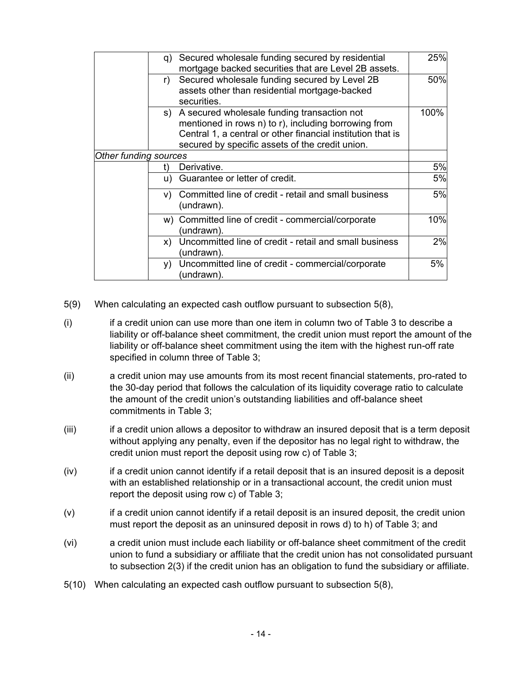<span id="page-13-0"></span>

|                       | q) Secured wholesale funding secured by residential<br>mortgage backed securities that are Level 2B assets.                                                                                                              | 25%  |
|-----------------------|--------------------------------------------------------------------------------------------------------------------------------------------------------------------------------------------------------------------------|------|
|                       | Secured wholesale funding secured by Level 2B<br>r)<br>assets other than residential mortgage-backed<br>securities.                                                                                                      | 50%  |
|                       | s) A secured wholesale funding transaction not<br>mentioned in rows n) to r), including borrowing from<br>Central 1, a central or other financial institution that is<br>secured by specific assets of the credit union. | 100% |
| Other funding sources |                                                                                                                                                                                                                          |      |
|                       | Derivative.<br>t)                                                                                                                                                                                                        | 5%   |
|                       | u) Guarantee or letter of credit.                                                                                                                                                                                        | 5%   |
|                       | Committed line of credit - retail and small business<br>V)<br>(undrawn).                                                                                                                                                 | 5%   |
|                       | w) Committed line of credit - commercial/corporate<br>undrawn).                                                                                                                                                          | 10%  |
|                       | Uncommitted line of credit - retail and small business<br>X)<br>undrawn).                                                                                                                                                | 2%   |
|                       | Uncommitted line of credit - commercial/corporate<br>y)<br>undrawn).                                                                                                                                                     | 5%   |

- 5(9) When calculating an expected cash outflow pursuant to subsection [5\(8\)](#page-11-0),
- (i) if a credit union can use more than one item in column two of Table 3 to describe a liability or off-balance sheet commitment, the credit union must report the amount of the liability or off-balance sheet commitment using the item with the highest run-off rate specified in column three of Table 3;
- (ii) a credit union may use amounts from its most recent financial statements, pro-rated to the 30-day period that follows the calculation of its liquidity coverage ratio to calculate the amount of the credit union's outstanding liabilities and off-balance sheet commitments in Table 3;
- (iii) if a credit union allows a depositor to withdraw an insured deposit that is a term deposit without applying any penalty, even if the depositor has no legal right to withdraw, the credit union must report the deposit using row [c\)](#page-12-0) of Table 3;
- (iv) if a credit union cannot identify if a retail deposit that is an insured deposit is a deposit with an established relationship or in a transactional account, the credit union must report the deposit using row [c\)](#page-12-0) of Table 3;
- (v) if a credit union cannot identify if a retail deposit is an insured deposit, the credit union must report the deposit as an uninsured deposit in rows [d\)](#page-12-0) to [h\)](#page-12-0) of Table 3; and
- (vi) a credit union must include each liability or off-balance sheet commitment of the credit union to fund a subsidiary or affiliate that the credit union has not consolidated pursuant to subsection [2\(3\)](#page-7-0) if the credit union has an obligation to fund the subsidiary or affiliate.
- 5(10) When calculating an expected cash outflow pursuant to subsection [5\(8\)](#page-11-0),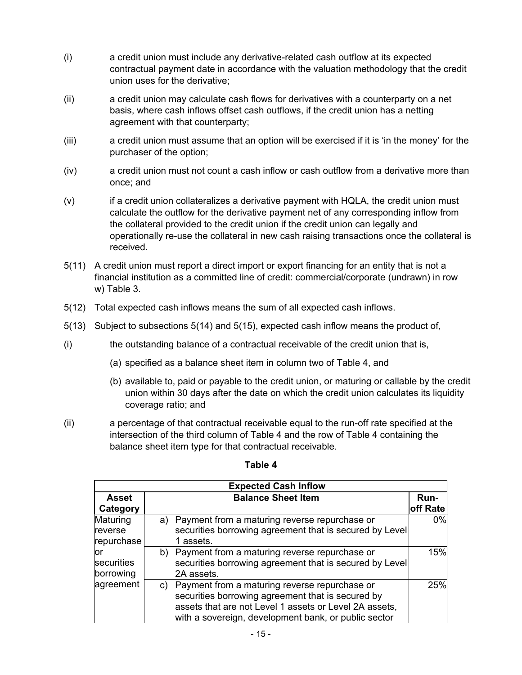- <span id="page-14-0"></span>(i) a credit union must include any derivative-related cash outflow at its expected contractual payment date in accordance with the valuation methodology that the credit union uses for the derivative;
- (ii) a credit union may calculate cash flows for derivatives with a counterparty on a net basis, where cash inflows offset cash outflows, if the credit union has a netting agreement with that counterparty;
- (iii) a credit union must assume that an option will be exercised if it is 'in the money' for the purchaser of the option;
- (iv) a credit union must not count a cash inflow or cash outflow from a derivative more than once; and
- (v) if a credit union collateralizes a derivative payment with HQLA, the credit union must calculate the outflow for the derivative payment net of any corresponding inflow from the collateral provided to the credit union if the credit union can legally and operationally re-use the collateral in new cash raising transactions once the collateral is received.
- 5(11) A credit union must report a direct import or export financing for an entity that is not a financial institution as a committed line of credit: commercial/corporate (undrawn) in row [w\)](#page-13-0) Table 3.
- 5(12) Total expected cash inflows means the sum of all expected cash inflows.
- 5(13) Subject to subsections [5\(14\)](#page-15-0) and [5\(15\),](#page-15-0) expected cash inflow means the product of,
- (i) the outstanding balance of a contractual receivable of the credit union that is,
	- (a) specified as a balance sheet item in column two of Table 4, and
	- (b) available to, paid or payable to the credit union, or maturing or callable by the credit union within 30 days after the date on which the credit union calculates its liquidity coverage ratio; and
- (ii) a percentage of that contractual receivable equal to the run-off rate specified at the intersection of the third column of Table 4 and the row of Table 4 containing the balance sheet item type for that contractual receivable.

|            | <b>Expected Cash Inflow</b>                             |          |
|------------|---------------------------------------------------------|----------|
| Asset      | <b>Balance Sheet Item</b>                               | Run-     |
| Category   |                                                         | off Rate |
| Maturing   | Payment from a maturing reverse repurchase or<br>a)     | $0\%$    |
| reverse    | securities borrowing agreement that is secured by Level |          |
| repurchase | 1 assets.                                               |          |
| юr         | Payment from a maturing reverse repurchase or<br>b)     | 15%      |
| securities | securities borrowing agreement that is secured by Level |          |
| borrowing  | 2A assets.                                              |          |
| agreement  | c) Payment from a maturing reverse repurchase or        | 25%      |
|            | securities borrowing agreement that is secured by       |          |
|            | assets that are not Level 1 assets or Level 2A assets,  |          |
|            | with a sovereign, development bank, or public sector    |          |

#### **Table 4**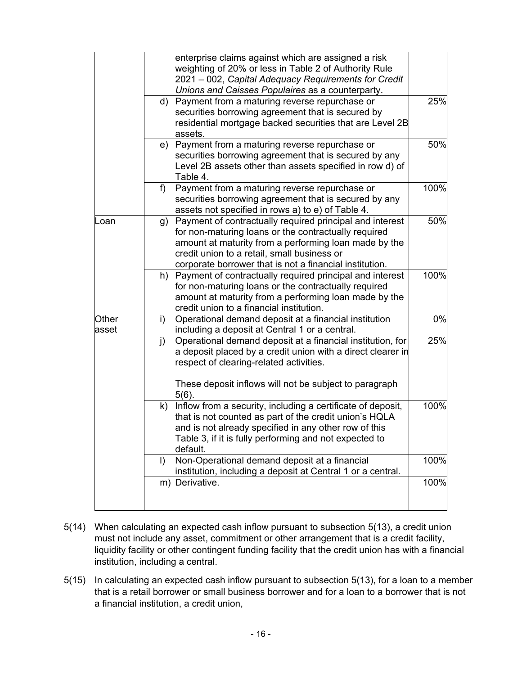<span id="page-15-0"></span>

|                | enterprise claims against which are assigned a risk<br>weighting of 20% or less in Table 2 of Authority Rule<br>2021 – 002, Capital Adequacy Requirements for Credit<br>Unions and Caisses Populaires as a counterparty.                                                               |      |
|----------------|----------------------------------------------------------------------------------------------------------------------------------------------------------------------------------------------------------------------------------------------------------------------------------------|------|
|                | d) Payment from a maturing reverse repurchase or<br>securities borrowing agreement that is secured by<br>residential mortgage backed securities that are Level 2B<br>assets.                                                                                                           | 25%  |
|                | e) Payment from a maturing reverse repurchase or<br>securities borrowing agreement that is secured by any<br>Level 2B assets other than assets specified in row d) of<br>Table 4.                                                                                                      | 50%  |
|                | Payment from a maturing reverse repurchase or<br>f)<br>securities borrowing agreement that is secured by any<br>assets not specified in rows a) to e) of Table 4.                                                                                                                      | 100% |
| Loan           | g) Payment of contractually required principal and interest<br>for non-maturing loans or the contractually required<br>amount at maturity from a performing loan made by the<br>credit union to a retail, small business or<br>corporate borrower that is not a financial institution. | 50%  |
|                | h) Payment of contractually required principal and interest<br>for non-maturing loans or the contractually required<br>amount at maturity from a performing loan made by the<br>credit union to a financial institution.                                                               | 100% |
| Other<br>asset | Operational demand deposit at a financial institution<br>i)<br>including a deposit at Central 1 or a central.                                                                                                                                                                          | 0%   |
|                | Operational demand deposit at a financial institution, for<br>j)<br>a deposit placed by a credit union with a direct clearer in<br>respect of clearing-related activities.<br>These deposit inflows will not be subject to paragraph<br>$5(6)$ .                                       | 25%  |
|                | Inflow from a security, including a certificate of deposit,<br>k)<br>that is not counted as part of the credit union's HQLA<br>and is not already specified in any other row of this<br>Table 3, if it is fully performing and not expected to<br>default.                             | 100% |
|                | Non-Operational demand deposit at a financial<br>$\vert$<br>institution, including a deposit at Central 1 or a central.                                                                                                                                                                | 100% |
|                | m) Derivative.                                                                                                                                                                                                                                                                         | 100% |

- 5(14) When calculating an expected cash inflow pursuant to subsection [5\(13\),](#page-14-0) a credit union must not include any asset, commitment or other arrangement that is a credit facility, liquidity facility or other contingent funding facility that the credit union has with a financial institution, including a central.
- 5(15) In calculating an expected cash inflow pursuant to subsection [5\(13\)](#page-14-0), for a loan to a member that is a retail borrower or small business borrower and for a loan to a borrower that is not a financial institution, a credit union,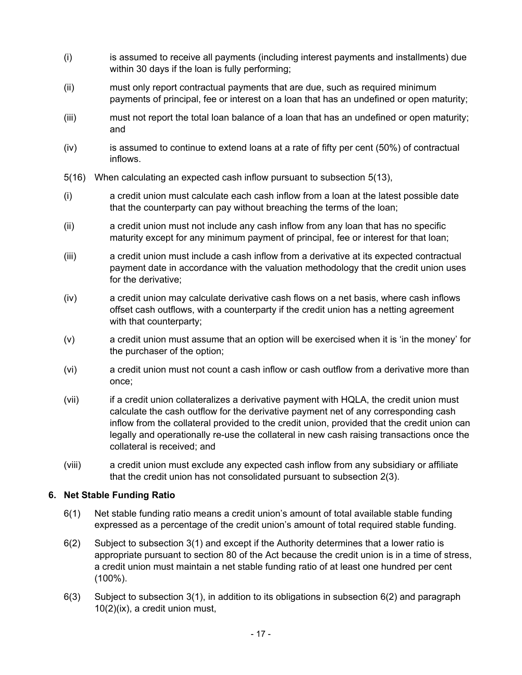- <span id="page-16-0"></span>(i) is assumed to receive all payments (including interest payments and installments) due within 30 days if the loan is fully performing;
- (ii) must only report contractual payments that are due, such as required minimum payments of principal, fee or interest on a loan that has an undefined or open maturity;
- (iii) must not report the total loan balance of a loan that has an undefined or open maturity; and
- $(iv)$  is assumed to continue to extend loans at a rate of fifty per cent  $(50%)$  of contractual inflows.
- 5(16) When calculating an expected cash inflow pursuant to subsection [5\(13\),](#page-14-0)
- (i) a credit union must calculate each cash inflow from a loan at the latest possible date that the counterparty can pay without breaching the terms of the loan;
- (ii) a credit union must not include any cash inflow from any loan that has no specific maturity except for any minimum payment of principal, fee or interest for that loan;
- (iii) a credit union must include a cash inflow from a derivative at its expected contractual payment date in accordance with the valuation methodology that the credit union uses for the derivative;
- (iv) a credit union may calculate derivative cash flows on a net basis, where cash inflows offset cash outflows, with a counterparty if the credit union has a netting agreement with that counterparty;
- (v) a credit union must assume that an option will be exercised when it is 'in the money' for the purchaser of the option;
- (vi) a credit union must not count a cash inflow or cash outflow from a derivative more than once;
- (vii) if a credit union collateralizes a derivative payment with HQLA, the credit union must calculate the cash outflow for the derivative payment net of any corresponding cash inflow from the collateral provided to the credit union, provided that the credit union can legally and operationally re-use the collateral in new cash raising transactions once the collateral is received; and
- (viii) a credit union must exclude any expected cash inflow from any subsidiary or affiliate that the credit union has not consolidated pursuant to subsection [2\(3\).](#page-7-0)

#### **6. Net Stable Funding Ratio**

- 6(1) Net stable funding ratio means a credit union's amount of total available stable funding expressed as a percentage of the credit union's amount of total required stable funding.
- 6(2) Subject to subsection [3\(1\)](#page-7-0) and except if the Authority determines that a lower ratio is appropriate pursuant to section 80 of the Act because the credit union is in a time of stress, a credit union must maintain a net stable funding ratio of at least one hundred per cent (100%).
- 6(3) Subject to subsection [3\(1\)](#page-7-0), in addition to its obligations in subsection 6(2) and paragraph [10\(2\)\(ix\),](#page-34-0) a credit union must,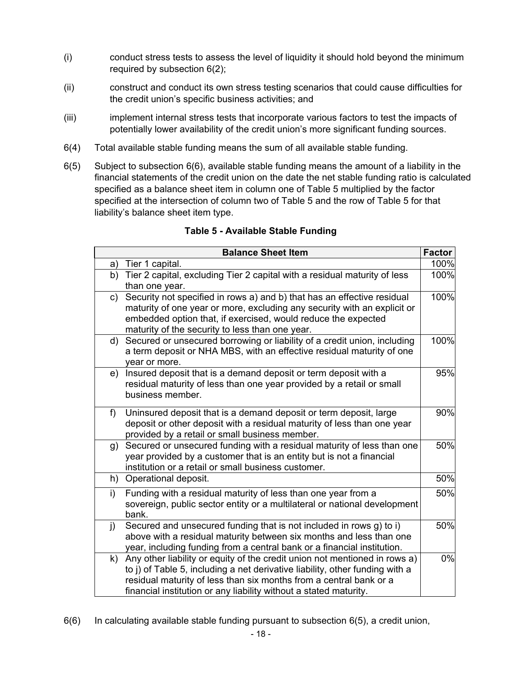- <span id="page-17-0"></span>(i) conduct stress tests to assess the level of liquidity it should hold beyond the minimum required by subsection [6\(2\)](#page-16-0);
- (ii) construct and conduct its own stress testing scenarios that could cause difficulties for the credit union's specific business activities; and
- (iii) implement internal stress tests that incorporate various factors to test the impacts of potentially lower availability of the credit union's more significant funding sources.
- 6(4) Total available stable funding means the sum of all available stable funding.
- 6(5) Subject to subsection 6(6), available stable funding means the amount of a liability in the financial statements of the credit union on the date the net stable funding ratio is calculated specified as a balance sheet item in column one of Table 5 multiplied by the factor specified at the intersection of column two of Table 5 and the row of Table 5 for that liability's balance sheet item type.

|              | <b>Balance Sheet Item</b>                                                                                                                                                                                                                                                                             | <b>Factor</b> |
|--------------|-------------------------------------------------------------------------------------------------------------------------------------------------------------------------------------------------------------------------------------------------------------------------------------------------------|---------------|
| a)           | Tier 1 capital.                                                                                                                                                                                                                                                                                       | 100%          |
| b)           | Tier 2 capital, excluding Tier 2 capital with a residual maturity of less<br>than one year.                                                                                                                                                                                                           | 100%          |
| c)           | Security not specified in rows a) and b) that has an effective residual<br>maturity of one year or more, excluding any security with an explicit or<br>embedded option that, if exercised, would reduce the expected<br>maturity of the security to less than one year.                               | 100%          |
| d)           | Secured or unsecured borrowing or liability of a credit union, including<br>a term deposit or NHA MBS, with an effective residual maturity of one<br>year or more.                                                                                                                                    | 100%          |
| e)           | Insured deposit that is a demand deposit or term deposit with a<br>residual maturity of less than one year provided by a retail or small<br>business member.                                                                                                                                          | 95%           |
| f)           | Uninsured deposit that is a demand deposit or term deposit, large<br>deposit or other deposit with a residual maturity of less than one year<br>provided by a retail or small business member.                                                                                                        | 90%           |
| g)           | Secured or unsecured funding with a residual maturity of less than one<br>year provided by a customer that is an entity but is not a financial<br>institution or a retail or small business customer.                                                                                                 | 50%           |
| h)           | Operational deposit.                                                                                                                                                                                                                                                                                  | 50%           |
| i)           | Funding with a residual maturity of less than one year from a<br>sovereign, public sector entity or a multilateral or national development<br>bank.                                                                                                                                                   | 50%           |
| $\mathbf{j}$ | Secured and unsecured funding that is not included in rows g) to i)<br>above with a residual maturity between six months and less than one<br>year, including funding from a central bank or a financial institution.                                                                                 | 50%           |
| k)           | Any other liability or equity of the credit union not mentioned in rows a)<br>to j) of Table 5, including a net derivative liability, other funding with a<br>residual maturity of less than six months from a central bank or a<br>financial institution or any liability without a stated maturity. | 0%            |

#### **Table 5 - Available Stable Funding**

 $6(6)$  In calculating available stable funding pursuant to subsection  $6(5)$ , a credit union,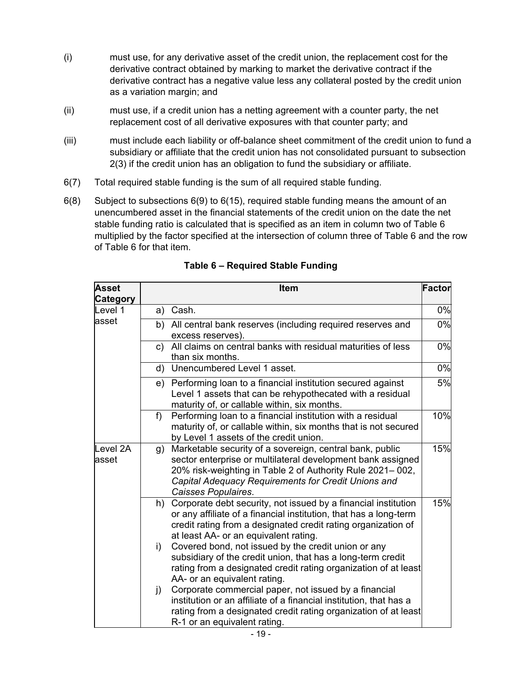- <span id="page-18-0"></span>(i) must use, for any derivative asset of the credit union, the replacement cost for the derivative contract obtained by marking to market the derivative contract if the derivative contract has a negative value less any collateral posted by the credit union as a variation margin; and
- (ii) must use, if a credit union has a netting agreement with a counter party, the net replacement cost of all derivative exposures with that counter party; and
- (iii) must include each liability or off-balance sheet commitment of the credit union to fund a subsidiary or affiliate that the credit union has not consolidated pursuant to subsection [2\(3\)](#page-7-0) if the credit union has an obligation to fund the subsidiary or affiliate.
- 6(7) Total required stable funding is the sum of all required stable funding.
- 6(8) Subject to subsections [6\(9\)](#page-20-0) to [6\(15\),](#page-21-0) required stable funding means the amount of an unencumbered asset in the financial statements of the credit union on the date the net stable funding ratio is calculated that is specified as an item in column two of Table 6 multiplied by the factor specified at the intersection of column three of Table 6 and the row of Table 6 for that item.

| <b>Asset</b><br><b>Category</b> | <b>Item</b>                                                                                                                                                                                                                                                                                                      | Factor |
|---------------------------------|------------------------------------------------------------------------------------------------------------------------------------------------------------------------------------------------------------------------------------------------------------------------------------------------------------------|--------|
| Level 1                         | Cash.<br>a)                                                                                                                                                                                                                                                                                                      | 0%     |
| asset                           | b) All central bank reserves (including required reserves and<br>excess reserves).                                                                                                                                                                                                                               | 0%     |
|                                 | All claims on central banks with residual maturities of less<br>c)<br>than six months.                                                                                                                                                                                                                           | 0%     |
|                                 | Unencumbered Level 1 asset.<br>d)                                                                                                                                                                                                                                                                                | 0%     |
|                                 | Performing loan to a financial institution secured against<br>e)<br>Level 1 assets that can be rehypothecated with a residual<br>maturity of, or callable within, six months.                                                                                                                                    | 5%     |
|                                 | f<br>Performing loan to a financial institution with a residual<br>maturity of, or callable within, six months that is not secured<br>by Level 1 assets of the credit union.                                                                                                                                     | 10%    |
| Level 2A<br>asset               | Marketable security of a sovereign, central bank, public<br>g)<br>sector enterprise or multilateral development bank assigned<br>20% risk-weighting in Table 2 of Authority Rule 2021-002,<br>Capital Adequacy Requirements for Credit Unions and<br>Caisses Populaires.                                         | 15%    |
|                                 | Corporate debt security, not issued by a financial institution<br>h)<br>or any affiliate of a financial institution, that has a long-term<br>credit rating from a designated credit rating organization of<br>at least AA- or an equivalent rating.<br>Covered bond, not issued by the credit union or any<br>i) | 15%    |
|                                 | subsidiary of the credit union, that has a long-term credit<br>rating from a designated credit rating organization of at least<br>AA- or an equivalent rating.                                                                                                                                                   |        |
|                                 | Corporate commercial paper, not issued by a financial<br>j)<br>institution or an affiliate of a financial institution, that has a<br>rating from a designated credit rating organization of at least<br>R-1 or an equivalent rating.                                                                             |        |

**Table 6 – Required Stable Funding**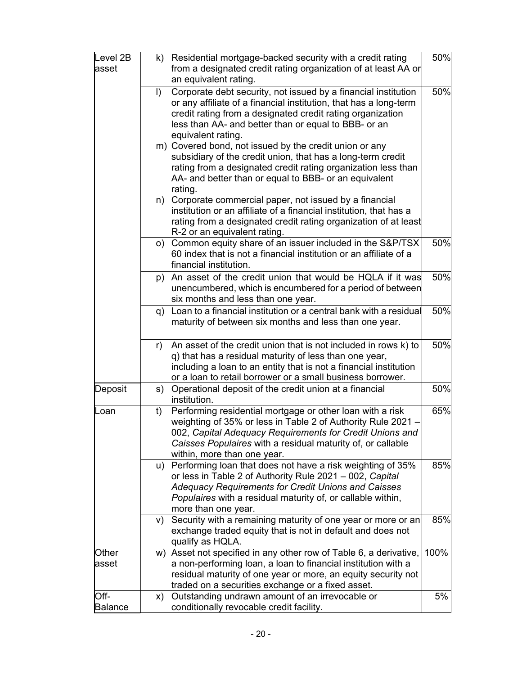| Level 2B<br>asset |           | k) Residential mortgage-backed security with a credit rating<br>from a designated credit rating organization of at least AA or                                                                                                                                                      | 50%  |
|-------------------|-----------|-------------------------------------------------------------------------------------------------------------------------------------------------------------------------------------------------------------------------------------------------------------------------------------|------|
|                   | $\vert$ ) | an equivalent rating.<br>Corporate debt security, not issued by a financial institution<br>or any affiliate of a financial institution, that has a long-term<br>credit rating from a designated credit rating organization                                                          | 50%  |
|                   |           | less than AA- and better than or equal to BBB- or an<br>equivalent rating.<br>m) Covered bond, not issued by the credit union or any<br>subsidiary of the credit union, that has a long-term credit                                                                                 |      |
|                   |           | rating from a designated credit rating organization less than<br>AA- and better than or equal to BBB- or an equivalent<br>rating.                                                                                                                                                   |      |
|                   | n)        | Corporate commercial paper, not issued by a financial<br>institution or an affiliate of a financial institution, that has a<br>rating from a designated credit rating organization of at least<br>R-2 or an equivalent rating.                                                      |      |
|                   |           | o) Common equity share of an issuer included in the S&P/TSX<br>60 index that is not a financial institution or an affiliate of a<br>financial institution.                                                                                                                          | 50%  |
|                   | p)        | An asset of the credit union that would be HQLA if it was<br>unencumbered, which is encumbered for a period of between<br>six months and less than one year.                                                                                                                        | 50%  |
|                   |           | q) Loan to a financial institution or a central bank with a residual<br>maturity of between six months and less than one year.                                                                                                                                                      | 50%  |
|                   | r)        | An asset of the credit union that is not included in rows k) to<br>q) that has a residual maturity of less than one year,<br>including a loan to an entity that is not a financial institution<br>or a loan to retail borrower or a small business borrower.                        | 50%  |
| Deposit           | s)        | Operational deposit of the credit union at a financial<br>institution.                                                                                                                                                                                                              | 50%  |
| Loan              | t)        | Performing residential mortgage or other loan with a risk<br>weighting of 35% or less in Table 2 of Authority Rule 2021 -<br>002, Capital Adequacy Requirements for Credit Unions and<br>Caisses Populaires with a residual maturity of, or callable<br>within, more than one year. | 65%  |
|                   | u)        | Performing loan that does not have a risk weighting of 35%<br>or less in Table 2 of Authority Rule 2021 - 002, Capital<br><b>Adequacy Requirements for Credit Unions and Caisses</b><br>Populaires with a residual maturity of, or callable within,<br>more than one year.          | 85%  |
|                   | V)        | Security with a remaining maturity of one year or more or an<br>exchange traded equity that is not in default and does not<br>qualify as HQLA.                                                                                                                                      | 85%  |
| Other<br>asset    | W)        | Asset not specified in any other row of Table 6, a derivative,<br>a non-performing loan, a loan to financial institution with a<br>residual maturity of one year or more, an equity security not<br>traded on a securities exchange or a fixed asset.                               | 100% |
| Off-              | X)        | Outstanding undrawn amount of an irrevocable or                                                                                                                                                                                                                                     | 5%   |
| <b>Balance</b>    |           | conditionally revocable credit facility.                                                                                                                                                                                                                                            |      |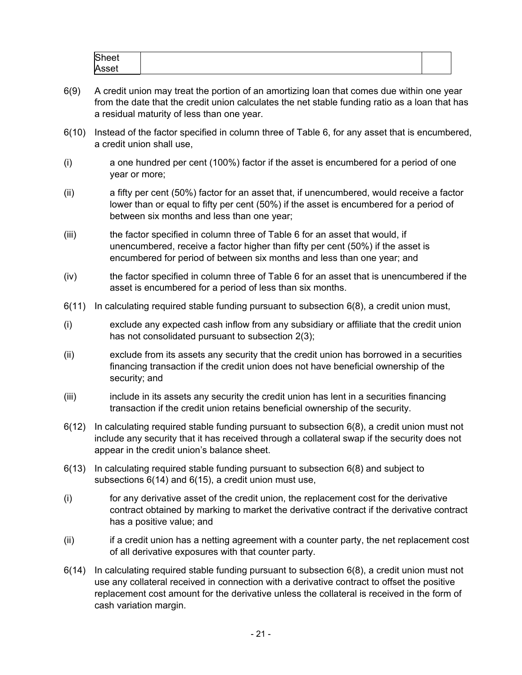| Sheet |  |
|-------|--|
| Asset |  |

- <span id="page-20-0"></span>6(9) A credit union may treat the portion of an amortizing loan that comes due within one year from the date that the credit union calculates the net stable funding ratio as a loan that has a residual maturity of less than one year.
- 6(10) Instead of the factor specified in column three of Table 6, for any asset that is encumbered, a credit union shall use,
- (i) a one hundred per cent (100%) factor if the asset is encumbered for a period of one year or more;
- (ii) a fifty per cent (50%) factor for an asset that, if unencumbered, would receive a factor lower than or equal to fifty per cent (50%) if the asset is encumbered for a period of between six months and less than one year;
- (iii) the factor specified in column three of Table 6 for an asset that would, if unencumbered, receive a factor higher than fifty per cent (50%) if the asset is encumbered for period of between six months and less than one year; and
- (iv) the factor specified in column three of Table 6 for an asset that is unencumbered if the asset is encumbered for a period of less than six months.
- $6(11)$  In calculating required stable funding pursuant to subsection  $6(8)$ , a credit union must,
- (i) exclude any expected cash inflow from any subsidiary or affiliate that the credit union has not consolidated pursuant to subsection [2\(3\)](#page-7-0);
- (ii) exclude from its assets any security that the credit union has borrowed in a securities financing transaction if the credit union does not have beneficial ownership of the security; and
- (iii) include in its assets any security the credit union has lent in a securities financing transaction if the credit union retains beneficial ownership of the security.
- $6(12)$  In calculating required stable funding pursuant to subsection  $6(8)$ , a credit union must not include any security that it has received through a collateral swap if the security does not appear in the credit union's balance sheet.
- 6(13) In calculating required stable funding pursuant to subsection [6\(8\)](#page-18-0) and subject to subsections 6(14) and [6\(15\),](#page-21-0) a credit union must use,
- (i) for any derivative asset of the credit union, the replacement cost for the derivative contract obtained by marking to market the derivative contract if the derivative contract has a positive value; and
- (ii) if a credit union has a netting agreement with a counter party, the net replacement cost of all derivative exposures with that counter party.
- $6(14)$  In calculating required stable funding pursuant to subsection  $6(8)$ , a credit union must not use any collateral received in connection with a derivative contract to offset the positive replacement cost amount for the derivative unless the collateral is received in the form of cash variation margin.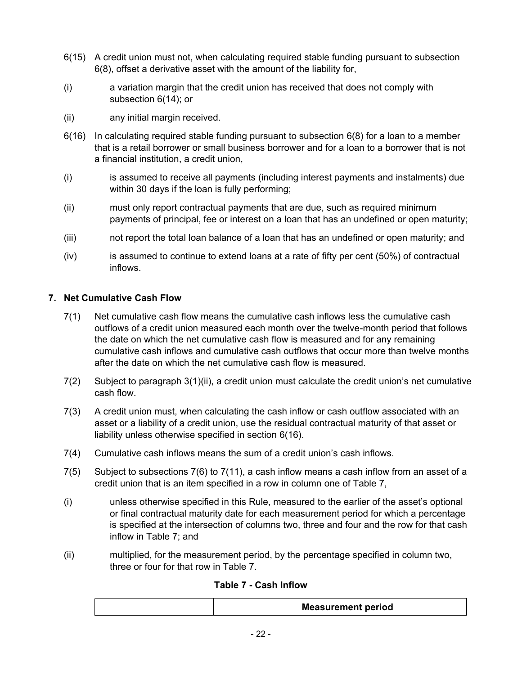- <span id="page-21-0"></span>6(15) A credit union must not, when calculating required stable funding pursuant to subsection [6\(8\)](#page-18-0), offset a derivative asset with the amount of the liability for,
- (i) a variation margin that the credit union has received that does not comply with subsection [6\(14\)](#page-20-0); or
- (ii) any initial margin received.
- 6(16) In calculating required stable funding pursuant to subsection [6\(8\)](#page-18-0) for a loan to a member that is a retail borrower or small business borrower and for a loan to a borrower that is not a financial institution, a credit union,
- (i) is assumed to receive all payments (including interest payments and instalments) due within 30 days if the loan is fully performing;
- (ii) must only report contractual payments that are due, such as required minimum payments of principal, fee or interest on a loan that has an undefined or open maturity;
- (iii) not report the total loan balance of a loan that has an undefined or open maturity; and
- $(iv)$  is assumed to continue to extend loans at a rate of fifty per cent (50%) of contractual inflows.

# **7. Net Cumulative Cash Flow**

- 7(1) Net cumulative cash flow means the cumulative cash inflows less the cumulative cash outflows of a credit union measured each month over the twelve-month period that follows the date on which the net cumulative cash flow is measured and for any remaining cumulative cash inflows and cumulative cash outflows that occur more than twelve months after the date on which the net cumulative cash flow is measured.
- 7(2) Subject to paragraph [3\(1\)\(ii\),](#page-7-0) a credit union must calculate the credit union's net cumulative cash flow.
- 7(3) A credit union must, when calculating the cash inflow or cash outflow associated with an asset or a liability of a credit union, use the residual contractual maturity of that asset or liability unless otherwise specified in section 6(16).
- 7(4) Cumulative cash inflows means the sum of a credit union's cash inflows.
- 7(5) Subject to subsections [7\(6\)](#page-25-0) to [7\(11\),](#page-29-0) a cash inflow means a cash inflow from an asset of a credit union that is an item specified in a row in column one of Table 7,
- (i) unless otherwise specified in this Rule, measured to the earlier of the asset's optional or final contractual maturity date for each measurement period for which a percentage is specified at the intersection of columns two, three and four and the row for that cash inflow in Table 7; and
- (ii) multiplied, for the measurement period, by the percentage specified in column two, three or four for that row in Table 7.

# **Table 7 - Cash Inflow**

| <b>Measurement period</b> |
|---------------------------|
|                           |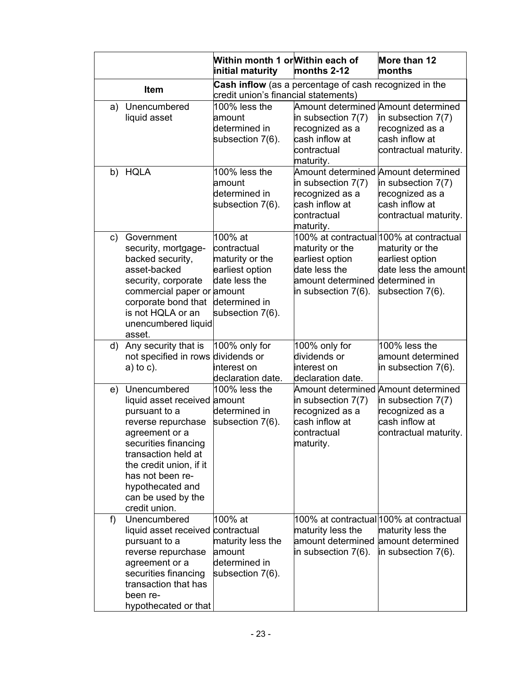|                                                                                                                                                                                                                                                                      | Within month 1 or Within each of<br>initial maturity                                                               | months 2-12                                                                                                | More than 12<br>months                                                                                                                     |
|----------------------------------------------------------------------------------------------------------------------------------------------------------------------------------------------------------------------------------------------------------------------|--------------------------------------------------------------------------------------------------------------------|------------------------------------------------------------------------------------------------------------|--------------------------------------------------------------------------------------------------------------------------------------------|
| Item                                                                                                                                                                                                                                                                 | credit union's financial statements)                                                                               | <b>Cash inflow</b> (as a percentage of cash recognized in the                                              |                                                                                                                                            |
| Unencumbered<br>a)<br>liquid asset                                                                                                                                                                                                                                   | 100% less the<br>amount<br>determined in<br>subsection 7(6).                                                       | in subsection 7(7)<br>recognized as a<br>cash inflow at<br>contractual<br>maturity.                        | Amount determined Amount determined<br>in subsection $7(7)$<br>recognized as a<br>cash inflow at<br>contractual maturity.                  |
| <b>HQLA</b><br>b)                                                                                                                                                                                                                                                    | 100% less the<br>amount<br>determined in<br>subsection 7(6).                                                       | in subsection 7(7)<br>recognized as a<br>cash inflow at<br>contractual<br>maturity.                        | Amount determined Amount determined<br>in subsection $7(7)$<br>recognized as a<br>cash inflow at<br>contractual maturity.                  |
| Government<br>c)<br>security, mortgage-<br>backed security,<br>asset-backed<br>security, corporate<br>commercial paper or amount<br>corporate bond that<br>is not HQLA or an<br>unencumbered liquid<br>asset.                                                        | 100% at<br>contractual<br>maturity or the<br>earliest option<br>date less the<br>determined in<br>subsection 7(6). | maturity or the<br>earliest option<br>date less the<br>amount determined<br>in subsection $7(6)$ .         | 100% at contractual 100% at contractual<br>maturity or the<br>earliest option<br>date less the amount<br>determined in<br>subsection 7(6). |
| Any security that is<br>d)<br>not specified in rows dividends or<br>$a)$ to c).                                                                                                                                                                                      | 100% only for<br>interest on<br>declaration date.                                                                  | 100% only for<br>dividends or<br>interest on<br>declaration date.                                          | $100\%$ less the<br>amount determined<br>in subsection $7(6)$ .                                                                            |
| Unencumbered<br>e)<br>liquid asset received amount<br>pursuant to a<br>reverse repurchase<br>agreement or a<br>securities financing<br>transaction held at<br>the credit union, if it<br>has not been re-<br>hypothecated and<br>can be used by the<br>credit union. | 100% less the<br>determined in<br>subsection 7(6).                                                                 | Amount determined<br>in subsection $7(7)$<br>recognized as a<br>cash inflow at<br>contractual<br>maturity. | Amount determined<br>in subsection $7(7)$<br>recognized as a<br>cash inflow at<br>contractual maturity.                                    |
| Unencumbered<br>f)<br>liquid asset received<br>pursuant to a<br>reverse repurchase<br>agreement or a<br>securities financing<br>transaction that has<br>been re-<br>hypothecated or that                                                                             | 100% at<br>contractual<br>maturity less the<br>amount<br>determined in<br>subsection 7(6).                         | maturity less the<br>amount determined<br>in subsection $7(6)$ .                                           | 100% at contractual 100% at contractual<br>maturity less the<br>amount determined<br>in subsection $7(6)$ .                                |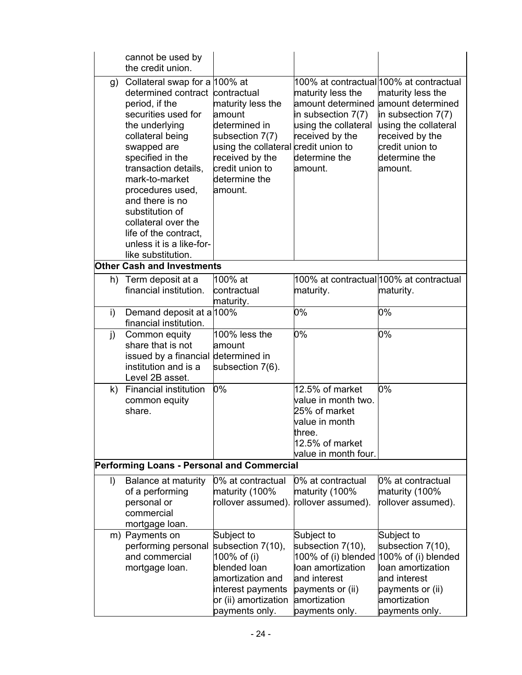<span id="page-23-0"></span>

|         | cannot be used by<br>the credit union.                                                                                                                                                                                                                                                                                                                                                   |                                                                                                                                                                           |                                                                                                                                                   |                                                                                                                                                                                                     |
|---------|------------------------------------------------------------------------------------------------------------------------------------------------------------------------------------------------------------------------------------------------------------------------------------------------------------------------------------------------------------------------------------------|---------------------------------------------------------------------------------------------------------------------------------------------------------------------------|---------------------------------------------------------------------------------------------------------------------------------------------------|-----------------------------------------------------------------------------------------------------------------------------------------------------------------------------------------------------|
| g)      | Collateral swap for a 100% at<br>determined contract contractual<br>period, if the<br>securities used for<br>the underlying<br>collateral being<br>swapped are<br>specified in the<br>transaction details,<br>mark-to-market<br>procedures used,<br>and there is no<br>substitution of<br>collateral over the<br>life of the contract,<br>unless it is a like-for-<br>like substitution. | maturity less the<br>amount<br>determined in<br>subsection 7(7)<br>using the collateral credit union to<br>received by the<br>credit union to<br>determine the<br>amount. | maturity less the<br>amount determined<br>in subsection 7(7)<br>using the collateral<br>received by the<br>determine the<br>amount.               | 100% at contractual 100% at contractual<br>maturity less the<br>amount determined<br>in subsection $7(7)$<br>using the collateral<br>received by the<br>credit union to<br>determine the<br>amount. |
|         | <b>Other Cash and Investments</b>                                                                                                                                                                                                                                                                                                                                                        |                                                                                                                                                                           |                                                                                                                                                   |                                                                                                                                                                                                     |
| h)      | Term deposit at a<br>financial institution.                                                                                                                                                                                                                                                                                                                                              | 100% at<br>contractual<br>maturity.                                                                                                                                       | maturity.                                                                                                                                         | 100% at contractual 100% at contractual<br>maturity.                                                                                                                                                |
| i)      | Demand deposit at a 100%<br>financial institution.                                                                                                                                                                                                                                                                                                                                       |                                                                                                                                                                           | 0%                                                                                                                                                | 0%                                                                                                                                                                                                  |
| j)      | Common equity<br>share that is not<br>issued by a financial determined in<br>institution and is a<br>Level 2B asset.                                                                                                                                                                                                                                                                     | 100% less the<br>amount<br>subsection 7(6).                                                                                                                               | 0%                                                                                                                                                | 0%                                                                                                                                                                                                  |
| k)      | <b>Financial institution</b><br>common equity<br>share.                                                                                                                                                                                                                                                                                                                                  | 0%                                                                                                                                                                        | 12.5% of market<br>value in month two.<br>25% of market<br>value in month<br>three.<br>12.5% of market<br>value in month four.                    | 0%                                                                                                                                                                                                  |
|         | Performing Loans - Personal and Commercial                                                                                                                                                                                                                                                                                                                                               |                                                                                                                                                                           |                                                                                                                                                   |                                                                                                                                                                                                     |
| $\vert$ | Balance at maturity<br>of a performing<br>personal or<br>commercial<br>mortgage loan.                                                                                                                                                                                                                                                                                                    | 0% at contractual<br>maturity (100%<br>rollover assumed).                                                                                                                 | 0% at contractual<br>maturity (100%<br>ollover assumed).                                                                                          | 0% at contractual<br>maturity (100%<br>rollover assumed).                                                                                                                                           |
|         | m) Payments on<br>performing personal<br>and commercial<br>mortgage loan.                                                                                                                                                                                                                                                                                                                | Subject to<br>subsection 7(10),<br>100% of (i)<br>blended loan<br>amortization and<br>interest payments<br>or (ii) amortization<br>payments only.                         | Subject to<br>subsection 7(10),<br>100% of (i) blended<br>loan amortization<br>and interest<br>payments or (ii)<br>amortization<br>payments only. | Subject to<br>subsection 7(10),<br>$ 100\% \text{ of } (i) \text{ blended}$<br>loan amortization<br>and interest<br>payments or (ii)<br>amortization<br>payments only.                              |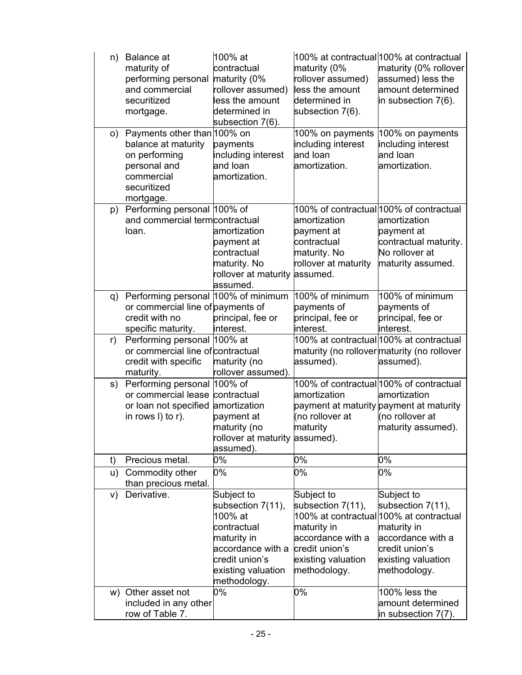| n) | <b>Balance</b> at<br>maturity of<br>performing personal maturity (0%<br>and commercial<br>securitized<br>mortgage.            | 100% at<br>contractual<br>rollover assumed)<br>less the amount<br>determined in<br>subsection 7(6).                                                   | maturity (0%<br>rollover assumed)<br>less the amount<br>determined in<br>subsection 7(6).                                   | 100% at contractual 100% at contractual<br>maturity (0% rollover<br>assumed) less the<br>amount determined<br>in subsection 7(6).                                      |
|----|-------------------------------------------------------------------------------------------------------------------------------|-------------------------------------------------------------------------------------------------------------------------------------------------------|-----------------------------------------------------------------------------------------------------------------------------|------------------------------------------------------------------------------------------------------------------------------------------------------------------------|
| o) | Payments other than 100% on<br>balance at maturity<br>on performing<br>personal and<br>commercial<br>securitized<br>mortgage. | payments<br>including interest<br>and loan<br>amortization.                                                                                           | 100% on payments<br>including interest<br>and loan<br>amortization.                                                         | 100% on payments<br>including interest<br>and loan<br>amortization.                                                                                                    |
| p) | Performing personal 100% of<br>and commercial termcontractual<br>loan.                                                        | amortization<br>payment at<br>contractual<br>maturity. No<br>rollover at maturity assumed.<br>assumed.                                                | amortization<br>payment at<br>contractual<br>maturity. No<br>rollover at maturity                                           | 100% of contractual 100% of contractual<br>amortization<br>payment at<br>contractual maturity.<br>No rollover at<br>maturity assumed.                                  |
| q) | Performing personal 100% of minimum<br>or commercial line of payments of<br>credit with no<br>specific maturity.              | principal, fee or<br>interest.                                                                                                                        | 100% of minimum<br>payments of<br>principal, fee or<br>interest.                                                            | 100% of minimum<br>payments of<br>principal, fee or<br>interest.                                                                                                       |
| r) | Performing personal 100% at<br>or commercial line of contractual<br>credit with specific<br>maturity.                         | maturity (no<br>rollover assumed).                                                                                                                    | maturity (no rollover maturity (no rollover<br>assumed).                                                                    | 100% at contractual 100% at contractual<br>assumed).                                                                                                                   |
| s) | Performing personal<br>or commercial lease contractual<br>or loan not specified amortization<br>in rows $I$ ) to r).          | 100% of<br>payment at<br>maturity (no<br>rollover at maturity assumed).<br>assumed).                                                                  | amortization<br>payment at maturity payment at maturity<br>(no rollover at<br>maturity                                      | 100% of contractual 100% of contractual<br>amortization<br>(no rollover at<br>maturity assumed).                                                                       |
| t) | Precious metal.                                                                                                               | 0%                                                                                                                                                    | 0%                                                                                                                          | 0%                                                                                                                                                                     |
| u) | Commodity other<br>than precious metal.                                                                                       | 0%                                                                                                                                                    | 0%                                                                                                                          | 0%                                                                                                                                                                     |
| V) | Derivative.                                                                                                                   | Subject to<br>subsection 7(11),<br>100% at<br>contractual<br>maturity in<br>accordance with a<br>credit union's<br>existing valuation<br>methodology. | Subject to<br>subsection 7(11),<br>maturity in<br>accordance with a<br>credit union's<br>existing valuation<br>methodology. | Subject to<br>subsection 7(11),<br>100% at contractual 100% at contractual<br>maturity in<br>accordance with a<br>credit union's<br>existing valuation<br>methodology. |
| W) | Other asset not<br>included in any other<br>row of Table 7.                                                                   | 0%                                                                                                                                                    | 0%                                                                                                                          | $100\%$ less the<br>amount determined<br>in subsection $7(7)$ .                                                                                                        |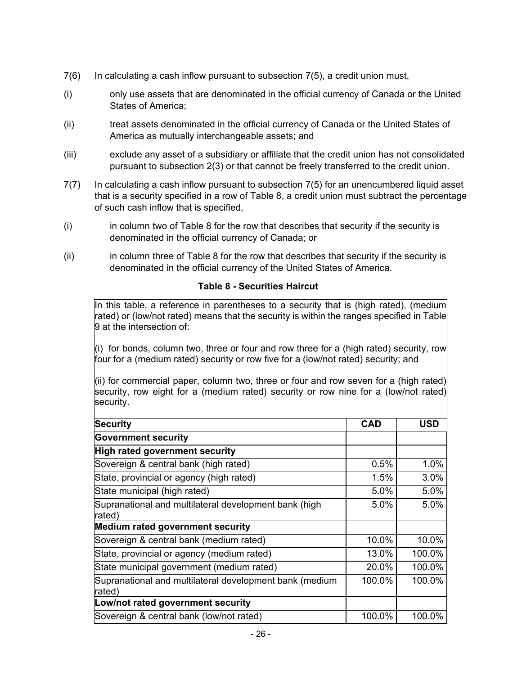- <span id="page-25-0"></span>7(6) In calculating a cash inflow pursuant to subsection [7\(5\)](#page-21-0), a credit union must,
- (i) only use assets that are denominated in the official currency of Canada or the United States of America;
- (ii) treat assets denominated in the official currency of Canada or the United States of America as mutually interchangeable assets; and
- (iii) exclude any asset of a subsidiary or affiliate that the credit union has not consolidated pursuant to subsection [2\(3\)](#page-7-0) or that cannot be freely transferred to the credit union.
- 7(7) In calculating a cash inflow pursuant to subsection [7\(5\)](#page-21-0) for an unencumbered liquid asset that is a security specified in a row of Table 8, a credit union must subtract the percentage of such cash inflow that is specified,
- (i) in column two of Table 8 for the row that describes that security if the security is denominated in the official currency of Canada; or
- (ii) in column three of Table 8 for the row that describes that security if the security is denominated in the official currency of the United States of America.

#### **Table 8 - Securities Haircut**

In this table, a reference in parentheses to a security that is (high rated), (medium rated) or (low/not rated) means that the security is within the ranges specified in Table 9 at the intersection of:

(i) for bonds, column two, three or four and row three for a (high rated) security, row four for a (medium rated) security or row five for a (low/not rated) security; and

(ii) for commercial paper, column two, three or four and row seven for a (high rated) security, row eight for a (medium rated) security or row nine for a (low/not rated) security.

| <b>Security</b>                                                   | <b>CAD</b> | <b>USD</b> |
|-------------------------------------------------------------------|------------|------------|
| <b>Government security</b>                                        |            |            |
| High rated government security                                    |            |            |
| Sovereign & central bank (high rated)                             | 0.5%       | 1.0%       |
| State, provincial or agency (high rated)                          | 1.5%       | 3.0%       |
| State municipal (high rated)                                      | 5.0%       | 5.0%       |
| Supranational and multilateral development bank (high<br>rated)   | 5.0%       | 5.0%       |
| Medium rated government security                                  |            |            |
| Sovereign & central bank (medium rated)                           | 10.0%      | 10.0%      |
| State, provincial or agency (medium rated)                        | 13.0%      | 100.0%     |
| State municipal government (medium rated)                         | 20.0%      | 100.0%     |
| Supranational and multilateral development bank (medium<br>rated) | 100.0%     | 100.0%     |
| Low/not rated government security                                 |            |            |
| Sovereign & central bank (low/not rated)                          | 100.0%     | 100.0%     |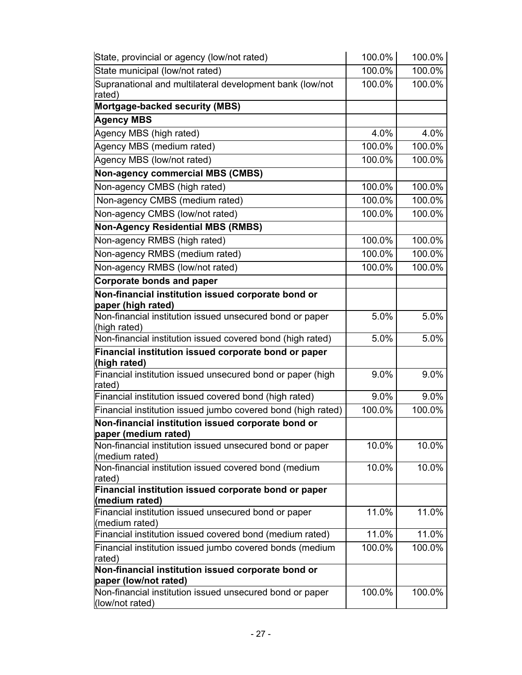| State, provincial or agency (low/not rated)                                 | 100.0% | 100.0% |
|-----------------------------------------------------------------------------|--------|--------|
| State municipal (low/not rated)                                             | 100.0% | 100.0% |
| Supranational and multilateral development bank (low/not<br>rated)          | 100.0% | 100.0% |
| Mortgage-backed security (MBS)                                              |        |        |
| <b>Agency MBS</b>                                                           |        |        |
| Agency MBS (high rated)                                                     | 4.0%   | 4.0%   |
| Agency MBS (medium rated)                                                   | 100.0% | 100.0% |
| Agency MBS (low/not rated)                                                  | 100.0% | 100.0% |
| Non-agency commercial MBS (CMBS)                                            |        |        |
| Non-agency CMBS (high rated)                                                | 100.0% | 100.0% |
| Non-agency CMBS (medium rated)                                              | 100.0% | 100.0% |
| Non-agency CMBS (low/not rated)                                             | 100.0% | 100.0% |
| <b>Non-Agency Residential MBS (RMBS)</b>                                    |        |        |
| Non-agency RMBS (high rated)                                                | 100.0% | 100.0% |
| Non-agency RMBS (medium rated)                                              | 100.0% | 100.0% |
| Non-agency RMBS (low/not rated)                                             | 100.0% | 100.0% |
| Corporate bonds and paper                                                   |        |        |
| Non-financial institution issued corporate bond or                          |        |        |
| paper (high rated)                                                          |        |        |
| Non-financial institution issued unsecured bond or paper                    | 5.0%   | 5.0%   |
| (high rated)                                                                |        |        |
| Non-financial institution issued covered bond (high rated)                  | 5.0%   | 5.0%   |
| Financial institution issued corporate bond or paper<br>(high rated)        |        |        |
| Financial institution issued unsecured bond or paper (high                  | 9.0%   | 9.0%   |
| rated)                                                                      |        |        |
| Financial institution issued covered bond (high rated)                      | 9.0%   | 9.0%   |
| Financial institution issued jumbo covered bond (high rated)                | 100.0% | 100.0% |
| Non-financial institution issued corporate bond or                          |        |        |
| paper (medium rated)                                                        |        |        |
| Non-financial institution issued unsecured bond or paper<br>(medium rated)  | 10.0%  | 10.0%  |
| Non-financial institution issued covered bond (medium                       | 10.0%  | 10.0%  |
| rated)                                                                      |        |        |
| Financial institution issued corporate bond or paper                        |        |        |
| (medium rated)                                                              |        |        |
| Financial institution issued unsecured bond or paper<br>(medium rated)      | 11.0%  | 11.0%  |
| Financial institution issued covered bond (medium rated)                    | 11.0%  | 11.0%  |
| Financial institution issued jumbo covered bonds (medium                    | 100.0% | 100.0% |
| rated)                                                                      |        |        |
| Non-financial institution issued corporate bond or                          |        |        |
| paper (low/not rated)                                                       |        |        |
| Non-financial institution issued unsecured bond or paper<br>(low/not rated) | 100.0% | 100.0% |
|                                                                             |        |        |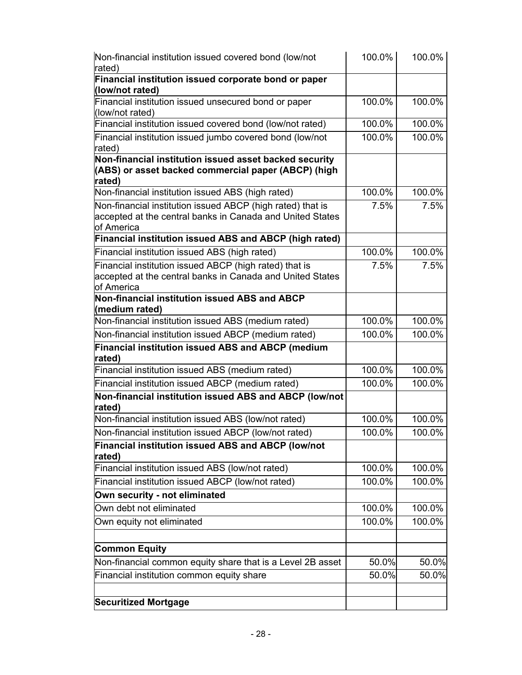| Non-financial institution issued covered bond (low/not<br>rated)                                                                      | 100.0% | 100.0% |
|---------------------------------------------------------------------------------------------------------------------------------------|--------|--------|
| Financial institution issued corporate bond or paper<br>(low/not rated)                                                               |        |        |
| Financial institution issued unsecured bond or paper<br>(low/not rated)                                                               | 100.0% | 100.0% |
| Financial institution issued covered bond (low/not rated)                                                                             | 100.0% | 100.0% |
| Financial institution issued jumbo covered bond (low/not<br>rated)                                                                    | 100.0% | 100.0% |
| Non-financial institution issued asset backed security<br>(ABS) or asset backed commercial paper (ABCP) (high<br>rated)               |        |        |
| Non-financial institution issued ABS (high rated)                                                                                     | 100.0% | 100.0% |
| Non-financial institution issued ABCP (high rated) that is<br>accepted at the central banks in Canada and United States<br>of America | 7.5%   | 7.5%   |
| Financial institution issued ABS and ABCP (high rated)                                                                                |        |        |
| Financial institution issued ABS (high rated)                                                                                         | 100.0% | 100.0% |
| Financial institution issued ABCP (high rated) that is<br>accepted at the central banks in Canada and United States<br>of America     | 7.5%   | 7.5%   |
| Non-financial institution issued ABS and ABCP<br>(medium rated)                                                                       |        |        |
| Non-financial institution issued ABS (medium rated)                                                                                   | 100.0% | 100.0% |
| Non-financial institution issued ABCP (medium rated)                                                                                  | 100.0% | 100.0% |
| <b>Financial institution issued ABS and ABCP (medium</b><br>rated)                                                                    |        |        |
| Financial institution issued ABS (medium rated)                                                                                       | 100.0% | 100.0% |
| Financial institution issued ABCP (medium rated)                                                                                      | 100.0% | 100.0% |
| Non-financial institution issued ABS and ABCP (low/not<br>rated)                                                                      |        |        |
| Non-financial institution issued ABS (low/not rated)                                                                                  | 100.0% | 100.0% |
| Non-financial institution issued ABCP (low/not rated)                                                                                 | 100.0% | 100.0% |
| Financial institution issued ABS and ABCP (low/not<br>rated)                                                                          |        |        |
| Financial institution issued ABS (low/not rated)                                                                                      | 100.0% | 100.0% |
| Financial institution issued ABCP (low/not rated)                                                                                     | 100.0% | 100.0% |
| Own security - not eliminated                                                                                                         |        |        |
| Own debt not eliminated                                                                                                               | 100.0% | 100.0% |
| Own equity not eliminated                                                                                                             | 100.0% | 100.0% |
| <b>Common Equity</b>                                                                                                                  |        |        |
| Non-financial common equity share that is a Level 2B asset                                                                            | 50.0%  | 50.0%  |
| Financial institution common equity share                                                                                             | 50.0%  | 50.0%  |
| <b>Securitized Mortgage</b>                                                                                                           |        |        |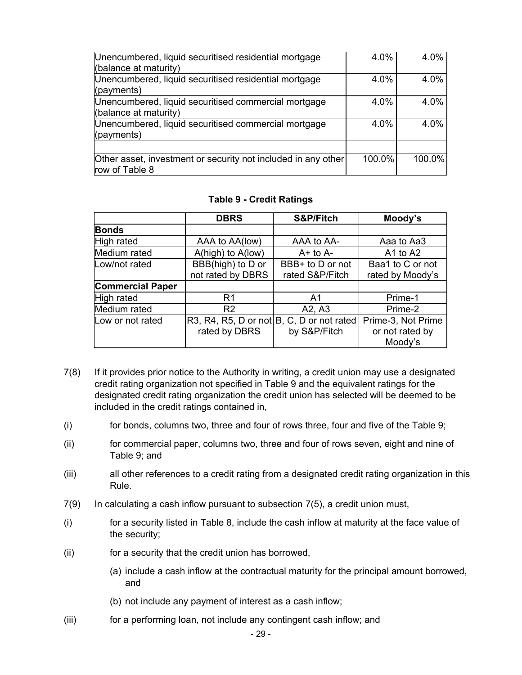| Unencumbered, liquid securitised residential mortgage<br>(balance at maturity)  | 4.0%   | 4.0%      |
|---------------------------------------------------------------------------------|--------|-----------|
| Unencumbered, liquid securitised residential mortgage<br>$($ payments $)$       | 4.0%   | 4.0%      |
| Unencumbered, liquid securitised commercial mortgage<br>(balance at maturity)   | 4.0%   | 4.0%      |
| Unencumbered, liquid securitised commercial mortgage<br>$($ payments $)$        | 4.0%   | 4.0%      |
|                                                                                 |        |           |
| Other asset, investment or security not included in any other<br>row of Table 8 | 100.0% | $100.0\%$ |

#### **Table 9 - Credit Ratings**

|                         | <b>DBRS</b>                                   | S&P/Fitch        | Moody's            |
|-------------------------|-----------------------------------------------|------------------|--------------------|
| <b>Bonds</b>            |                                               |                  |                    |
| High rated              | AAA to AA(low)                                | AAA to AA-       | Aaa to Aa3         |
| Medium rated            | $A(high)$ to $A(low)$                         | $A+$ to $A-$     | A1 to A2           |
| Low/not rated           | BBB(high) to D or                             | BBB+ to D or not | Baa1 to C or not   |
|                         | not rated by DBRS                             | rated S&P/Fitch  | rated by Moody's   |
| <b>Commercial Paper</b> |                                               |                  |                    |
| High rated              | R1                                            | A1               | Prime-1            |
| Medium rated            | R <sub>2</sub>                                | A2, A3           | Prime-2            |
| Low or not rated        | $R3, R4, R5, D$ or not $B, C, D$ or not rated |                  | Prime-3, Not Prime |
|                         | rated by DBRS                                 | by S&P/Fitch     | or not rated by    |
|                         |                                               |                  | Moody's            |

- 7(8) If it provides prior notice to the Authority in writing, a credit union may use a designated credit rating organization not specified in Table 9 and the equivalent ratings for the designated credit rating organization the credit union has selected will be deemed to be included in the credit ratings contained in,
- (i) for bonds, columns two, three and four of rows three, four and five of the Table 9;
- (ii) for commercial paper, columns two, three and four of rows seven, eight and nine of Table 9; and
- (iii) all other references to a credit rating from a designated credit rating organization in this Rule.
- 7(9) In calculating a cash inflow pursuant to subsection [7\(5\)](#page-21-0), a credit union must,
- (i) for a security listed in Table 8, include the cash inflow at maturity at the face value of the security;
- (ii) for a security that the credit union has borrowed,
	- (a) include a cash inflow at the contractual maturity for the principal amount borrowed, and
	- (b) not include any payment of interest as a cash inflow;
- (iii) for a performing loan, not include any contingent cash inflow; and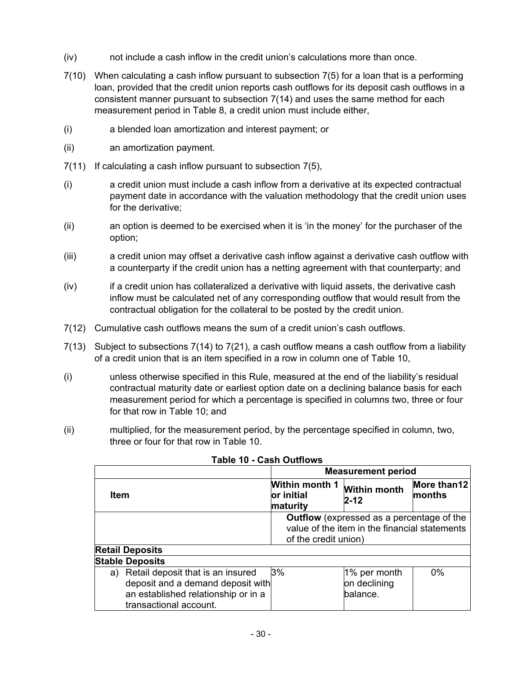- <span id="page-29-0"></span>(iv) not include a cash inflow in the credit union's calculations more than once.
- 7(10) When calculating a cash inflow pursuant to subsection [7\(5\)](#page-21-0) for a loan that is a performing loan, provided that the credit union reports cash outflows for its deposit cash outflows in a consistent manner pursuant to subsection [7\(14\)](#page-31-0) and uses the same method for each measurement period in Table 8, a credit union must include either,
- (i) a blended loan amortization and interest payment; or
- (ii) an amortization payment.
- 7(11) If calculating a cash inflow pursuant to subsection [7\(5\)](#page-21-0),
- (i) a credit union must include a cash inflow from a derivative at its expected contractual payment date in accordance with the valuation methodology that the credit union uses for the derivative;
- (ii) an option is deemed to be exercised when it is 'in the money' for the purchaser of the option;
- (iii) a credit union may offset a derivative cash inflow against a derivative cash outflow with a counterparty if the credit union has a netting agreement with that counterparty; and
- (iv) if a credit union has collateralized a derivative with liquid assets, the derivative cash inflow must be calculated net of any corresponding outflow that would result from the contractual obligation for the collateral to be posted by the credit union.
- 7(12) Cumulative cash outflows means the sum of a credit union's cash outflows.
- 7(13) Subject to subsections [7\(14\)](#page-31-0) to [7\(21\),](#page-32-0) a cash outflow means a cash outflow from a liability of a credit union that is an item specified in a row in column one of Table 10,
- (i) unless otherwise specified in this Rule, measured at the end of the liability's residual contractual maturity date or earliest option date on a declining balance basis for each measurement period for which a percentage is specified in columns two, three or four for that row in Table 10; and
- (ii) multiplied, for the measurement period, by the percentage specified in column, two, three or four for that row in Table 10.

|                                      | <b>Measurement period</b>                       |                                                  |                       |
|--------------------------------------|-------------------------------------------------|--------------------------------------------------|-----------------------|
| Item                                 | <b>Within month 1</b><br>or initial<br>maturity | <b>Within month</b><br>$2 - 12$                  | More than12<br>months |
|                                      |                                                 | <b>Outflow</b> (expressed as a percentage of the |                       |
|                                      |                                                 | value of the item in the financial statements    |                       |
|                                      | of the credit union)                            |                                                  |                       |
| <b>Retail Deposits</b>               |                                                 |                                                  |                       |
| <b>Stable Deposits</b>               |                                                 |                                                  |                       |
| a) Retail deposit that is an insured | 3%                                              | $1\%$ per month                                  | $0\%$                 |
| deposit and a demand deposit with    |                                                 | on declining                                     |                       |
| an established relationship or in a  |                                                 | balance.                                         |                       |
| transactional account.               |                                                 |                                                  |                       |
|                                      |                                                 |                                                  |                       |

#### **Table 10 - Cash Outflows**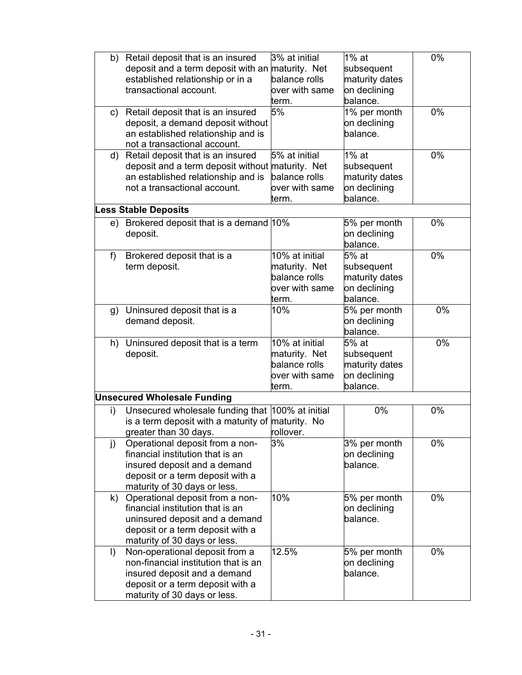| b)   | Retail deposit that is an insured<br>deposit and a term deposit with an maturity. Net<br>established relationship or in a<br>transactional account.                        | 3% at initial<br>balance rolls<br>over with same<br>term.                   | $1\%$ at<br>subsequent<br>maturity dates<br>on declining<br>balance. | 0%    |
|------|----------------------------------------------------------------------------------------------------------------------------------------------------------------------------|-----------------------------------------------------------------------------|----------------------------------------------------------------------|-------|
| c)   | Retail deposit that is an insured<br>deposit, a demand deposit without<br>an established relationship and is<br>not a transactional account.                               | 5%                                                                          | 1% per month<br>on declining<br>balance.                             | $0\%$ |
| d)   | Retail deposit that is an insured<br>deposit and a term deposit without maturity. Net<br>an established relationship and is<br>not a transactional account.                | 5% at initial<br>balance rolls<br>over with same<br>term.                   | 1% at<br>subsequent<br>maturity dates<br>on declining<br>balance.    | $0\%$ |
|      | ess Stable Deposits                                                                                                                                                        |                                                                             |                                                                      |       |
| e) - | Brokered deposit that is a demand 10%<br>deposit.                                                                                                                          |                                                                             | 5% per month<br>on declining<br>balance.                             | 0%    |
| f    | Brokered deposit that is a<br>term deposit.                                                                                                                                | 10% at initial<br>maturity. Net<br>balance rolls<br>over with same<br>term. | 5% at<br>subsequent<br>maturity dates<br>on declining<br>balance.    | 0%    |
| g)   | Uninsured deposit that is a<br>demand deposit.                                                                                                                             | 10%                                                                         | 5% per month<br>on declining<br>balance.                             | $0\%$ |
| h)   | Uninsured deposit that is a term<br>deposit.                                                                                                                               | 10% at initial<br>maturity. Net<br>balance rolls<br>over with same<br>term. | 5% at<br>subsequent<br>maturity dates<br>on declining<br>balance.    | 0%    |
|      | <b>Unsecured Wholesale Funding</b>                                                                                                                                         |                                                                             |                                                                      |       |
| i)   | Unsecured wholesale funding that 100% at initial<br>is a term deposit with a maturity of maturity. No<br>greater than 30 days.                                             | rollover.                                                                   | 0%                                                                   | 0%    |
| j)   | Operational deposit from a non-<br>financial institution that is an<br>insured deposit and a demand<br>deposit or a term deposit with a<br>maturity of 30 days or less.    | 3%                                                                          | 3% per month<br>on declining<br>balance.                             | 0%    |
| k)   | Operational deposit from a non-<br>financial institution that is an<br>uninsured deposit and a demand<br>deposit or a term deposit with a<br>maturity of 30 days or less.  | 10%                                                                         | 5% per month<br>on declining<br>balance.                             | 0%    |
| I)   | Non-operational deposit from a<br>non-financial institution that is an<br>insured deposit and a demand<br>deposit or a term deposit with a<br>maturity of 30 days or less. | 12.5%                                                                       | 5% per month<br>on declining<br>balance.                             | 0%    |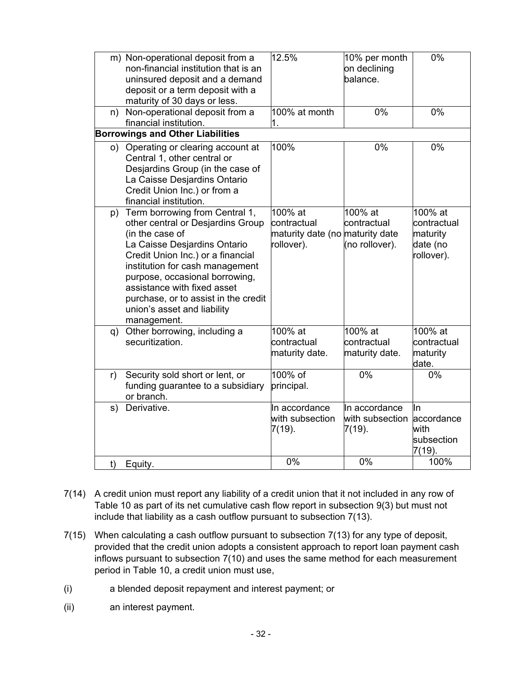<span id="page-31-0"></span>

| n)                                      | m) Non-operational deposit from a<br>non-financial institution that is an<br>uninsured deposit and a demand<br>deposit or a term deposit with a<br>maturity of 30 days or less.<br>Non-operational deposit from a                                                                                                                                        | 12.5%<br>100% at month                                                  | 10% per month<br>on declining<br>balance.<br>0% | 0%<br>$0\%$                                                  |
|-----------------------------------------|----------------------------------------------------------------------------------------------------------------------------------------------------------------------------------------------------------------------------------------------------------------------------------------------------------------------------------------------------------|-------------------------------------------------------------------------|-------------------------------------------------|--------------------------------------------------------------|
|                                         | financial institution.                                                                                                                                                                                                                                                                                                                                   | 1.                                                                      |                                                 |                                                              |
| <b>Borrowings and Other Liabilities</b> |                                                                                                                                                                                                                                                                                                                                                          |                                                                         |                                                 |                                                              |
| o)                                      | Operating or clearing account at<br>Central 1, other central or<br>Desjardins Group (in the case of<br>La Caisse Desjardins Ontario<br>Credit Union Inc.) or from a<br>financial institution.                                                                                                                                                            | 100%                                                                    | 0%                                              | 0%                                                           |
|                                         | p) Term borrowing from Central 1,<br>other central or Desjardins Group<br>(in the case of<br>La Caisse Desjardins Ontario<br>Credit Union Inc.) or a financial<br>institution for cash management<br>purpose, occasional borrowing,<br>assistance with fixed asset<br>purchase, or to assist in the credit<br>union's asset and liability<br>management. | 100% at<br>contractual<br>maturity date (no maturity date<br>rollover). | $100\%$ at<br>contractual<br>(no rollover).     | 100% at<br>contractual<br>maturity<br>date (no<br>rollover). |
| q)                                      | Other borrowing, including a<br>securitization.                                                                                                                                                                                                                                                                                                          | 100% at<br>contractual<br>maturity date.                                | 100% at<br>contractual<br>maturity date.        | $100\%$ at<br>contractual<br>maturity<br>date.               |
| r)                                      | Security sold short or lent, or<br>funding guarantee to a subsidiary<br>or branch.                                                                                                                                                                                                                                                                       | 100% of<br>principal.                                                   | 0%                                              | $0\%$                                                        |
| s)                                      | Derivative.                                                                                                                                                                                                                                                                                                                                              | In accordance<br>with subsection<br>$7(19)$ .                           | In accordance<br>with subsection<br>7(19).      | In<br>accordance<br>with<br>subsection<br>$7(19)$ .          |
| t)                                      | Equity.                                                                                                                                                                                                                                                                                                                                                  | 0%                                                                      | 0%                                              | 100%                                                         |

- 7(14) A credit union must report any liability of a credit union that it not included in any row of Table 10 as part of its net cumulative cash flow report in subsection [9\(3\)](#page-33-0) but must not include that liability as a cash outflow pursuant to subsection [7\(13\).](#page-29-0)
- 7(15) When calculating a cash outflow pursuant to subsection [7\(13\)](#page-29-0) for any type of deposit, provided that the credit union adopts a consistent approach to report loan payment cash inflows pursuant to subsection [7\(10\)](#page-29-0) and uses the same method for each measurement period in Table 10, a credit union must use,
- (i) a blended deposit repayment and interest payment; or
- (ii) an interest payment.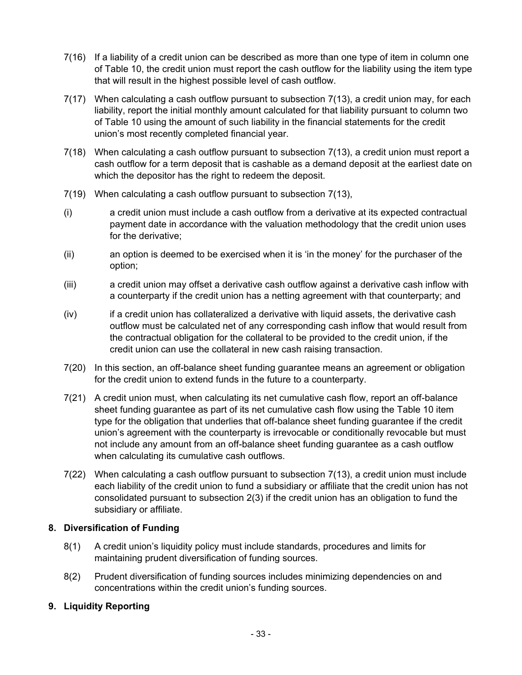- <span id="page-32-0"></span>7(16) If a liability of a credit union can be described as more than one type of item in column one of Table 10, the credit union must report the cash outflow for the liability using the item type that will result in the highest possible level of cash outflow.
- 7(17) When calculating a cash outflow pursuant to subsection [7\(13\),](#page-29-0) a credit union may, for each liability, report the initial monthly amount calculated for that liability pursuant to column two of Table 10 using the amount of such liability in the financial statements for the credit union's most recently completed financial year.
- 7(18) When calculating a cash outflow pursuant to subsection [7\(13\),](#page-29-0) a credit union must report a cash outflow for a term deposit that is cashable as a demand deposit at the earliest date on which the depositor has the right to redeem the deposit.
- 7(19) When calculating a cash outflow pursuant to subsection [7\(13\),](#page-29-0)
- (i) a credit union must include a cash outflow from a derivative at its expected contractual payment date in accordance with the valuation methodology that the credit union uses for the derivative;
- (ii) an option is deemed to be exercised when it is 'in the money' for the purchaser of the option;
- (iii) a credit union may offset a derivative cash outflow against a derivative cash inflow with a counterparty if the credit union has a netting agreement with that counterparty; and
- (iv) if a credit union has collateralized a derivative with liquid assets, the derivative cash outflow must be calculated net of any corresponding cash inflow that would result from the contractual obligation for the collateral to be provided to the credit union, if the credit union can use the collateral in new cash raising transaction.
- 7(20) In this section, an off-balance sheet funding guarantee means an agreement or obligation for the credit union to extend funds in the future to a counterparty.
- 7(21) A credit union must, when calculating its net cumulative cash flow, report an off-balance sheet funding guarantee as part of its net cumulative cash flow using the Table 10 item type for the obligation that underlies that off-balance sheet funding guarantee if the credit union's agreement with the counterparty is irrevocable or conditionally revocable but must not include any amount from an off-balance sheet funding guarantee as a cash outflow when calculating its cumulative cash outflows.
- 7(22) When calculating a cash outflow pursuant to subsection [7\(13\),](#page-29-0) a credit union must include each liability of the credit union to fund a subsidiary or affiliate that the credit union has not consolidated pursuant to subsection [2\(3\)](#page-7-0) if the credit union has an obligation to fund the subsidiary or affiliate.

#### **8. Diversification of Funding**

- 8(1) A credit union's liquidity policy must include standards, procedures and limits for maintaining prudent diversification of funding sources.
- 8(2) Prudent diversification of funding sources includes minimizing dependencies on and concentrations within the credit union's funding sources.

# **9. Liquidity Reporting**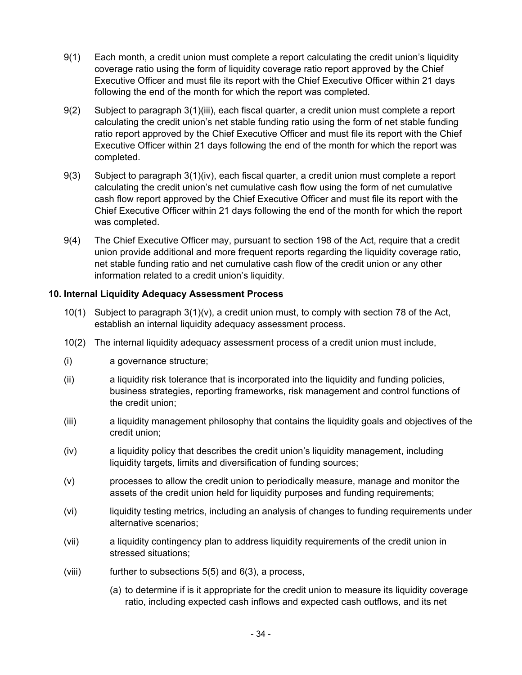- <span id="page-33-0"></span>9(1) Each month, a credit union must complete a report calculating the credit union's liquidity coverage ratio using the form of liquidity coverage ratio report approved by the Chief Executive Officer and must file its report with the Chief Executive Officer within 21 days following the end of the month for which the report was completed.
- 9(2) Subject to paragraph [3\(1\)\(iii\)](#page-7-0), each fiscal quarter, a credit union must complete a report calculating the credit union's net stable funding ratio using the form of net stable funding ratio report approved by the Chief Executive Officer and must file its report with the Chief Executive Officer within 21 days following the end of the month for which the report was completed.
- 9(3) Subject to paragraph [3\(1\)\(iv\),](#page-8-0) each fiscal quarter, a credit union must complete a report calculating the credit union's net cumulative cash flow using the form of net cumulative cash flow report approved by the Chief Executive Officer and must file its report with the Chief Executive Officer within 21 days following the end of the month for which the report was completed.
- 9(4) The Chief Executive Officer may, pursuant to section 198 of the Act, require that a credit union provide additional and more frequent reports regarding the liquidity coverage ratio, net stable funding ratio and net cumulative cash flow of the credit union or any other information related to a credit union's liquidity.

#### **10. Internal Liquidity Adequacy Assessment Process**

- 10(1) Subject to paragraph [3\(1\)\(v\)](#page-8-0), a credit union must, to comply with section 78 of the Act, establish an internal liquidity adequacy assessment process.
- 10(2) The internal liquidity adequacy assessment process of a credit union must include,
- (i) a governance structure;
- (ii) a liquidity risk tolerance that is incorporated into the liquidity and funding policies, business strategies, reporting frameworks, risk management and control functions of the credit union;
- (iii) a liquidity management philosophy that contains the liquidity goals and objectives of the credit union;
- (iv) a liquidity policy that describes the credit union's liquidity management, including liquidity targets, limits and diversification of funding sources;
- (v) processes to allow the credit union to periodically measure, manage and monitor the assets of the credit union held for liquidity purposes and funding requirements;
- (vi) liquidity testing metrics, including an analysis of changes to funding requirements under alternative scenarios;
- (vii) a liquidity contingency plan to address liquidity requirements of the credit union in stressed situations;
- (viii) further to subsections  $5(5)$  and  $6(3)$ , a process,
	- (a) to determine if is it appropriate for the credit union to measure its liquidity coverage ratio, including expected cash inflows and expected cash outflows, and its net